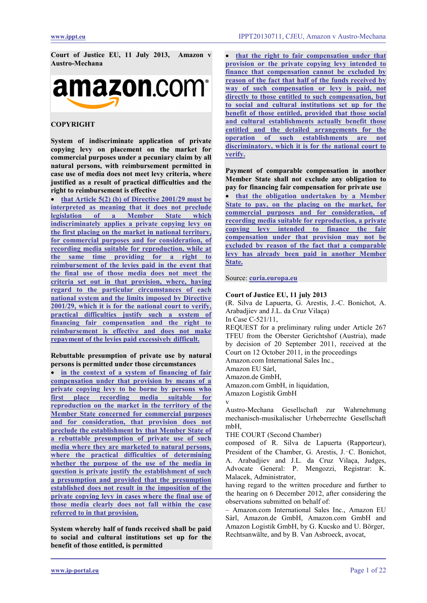**Court of Justice EU, 11 July 2013, Amazon v Austro-Mechana**



## **COPYRIGHT**

**System of indiscriminate application of private copying levy on placement on the market for commercial purposes under a pecuniary claim by all natural persons, with reimbursement permitted in case use of media does not meet levy criteria, where justified as a result of practical difficulties and the right to reimbursement is effective**

• **[that Article 5\(2\) \(b\) of Directive 2001/29 must be](#page-4-0)  [interpreted as meaning that it does not preclude](#page-4-0)  [legislation of a Member State which](#page-4-0)  [indiscriminately applies a private copying levy on](#page-4-0)  [the first placing on the market in national territory,](#page-4-0)  [for commercial purposes and for consideration, of](#page-4-0)  [recording media suitable for reproduction, while at](#page-4-0)  [the same time providing for a right to](#page-4-0)  [reimbursement of the levies paid in the event that](#page-4-0)  [the final use of those media does not meet the](#page-4-0)  [criteria set out in that provision, where, having](#page-4-0)  [regard to the particular circumstances of each](#page-4-0)  [national system and the limits imposed by Directive](#page-4-0)  [2001/29, which it is for the national court to verify,](#page-4-0)  [practical difficulties justify such a system of](#page-4-0)  [financing fair compensation and](#page-4-0) the right to [reimbursement is effective and does not make](#page-4-0)  [repayment of the levies paid excessively difficult.](#page-4-0)**

### **Rebuttable presumption of private use by natural persons is permitted under those circumstances**

in the context of a system of financing of fair **[compensation under that provision by means of a](#page-5-0)  [private copying levy to be borne by persons who](#page-5-0)  [first place recording media suitable for](#page-5-0)  [reproduction on the market in the territory of the](#page-5-0)  [Member State concerned for commercial purposes](#page-5-0)  [and for consideration, that provision does not](#page-5-0)  [preclude the establishment by that Member State of](#page-5-0)  [a rebuttable presumption of private use of such](#page-5-0)  [media where they are marketed to natural persons,](#page-5-0)  [where the practical difficulties of determining](#page-5-0)  [whether the purpose of the use of the media in](#page-5-0)  [question is private justify the establishment of such](#page-5-0)  [a presumption and provided that the presumption](#page-5-0)  [established does not result in the imposition of the](#page-5-0)  [private copying levy in cases where the final use of](#page-5-0)  [those media clearly does not fall within the case](#page-5-0)  [referred to in that provision.](#page-5-0)**

**System whereby half of funds received shall be paid to social and cultural institutions set up for the benefit of those entitled, is permitted**

that the right to fair compensation under that **[provision or the private copying levy intended to](#page-6-0)  [finance that compensation cannot be excluded by](#page-6-0)  [reason of the fact that half of the funds received by](#page-6-0)  [way of such compensation or levy is paid, not](#page-6-0)  [directly to those entitled to such compensation, but](#page-6-0)  [to social and cultural institutions set up for the](#page-6-0)  [benefit of those entitled, provided that those social](#page-6-0)  [and cultural establishments actually benefit those](#page-6-0)  [entitled and the detailed arrangements for the](#page-6-0)  [operation of such establishments are not](#page-6-0)  [discriminatory, which it is for the national court to](#page-6-0)  [verify.](#page-6-0)**

**Payment of comparable compensation in another Member State shall not exclude any obligation to pay for financing fair compensation for private use**

• **[that the obligation undertaken by a Member](#page-7-0)  [State to pay, on the placing on the market, for](#page-7-0)  [commercial purposes and for consideration, of](#page-7-0)  [recording media suitable for reproduction, a private](#page-7-0)  [copying levy intended to finance the fair](#page-7-0)  [compensation under that provision may not be](#page-7-0)  [excluded by reason of the fact that a comparable](#page-7-0)  [levy has already been paid in another Member](#page-7-0)  [State.](#page-7-0)**

#### Source: **[curia.europa.eu](http://curia.europa.eu/juris/liste.jsf?language=en&jur=C,T,F&num=C-521/11&td=ALL)**

#### **Court of Justice EU, 11 july 2013**

(R. Silva de Lapuerta, G. Arestis, J.-C. Bonichot, A. Arabadjiev and J.L. da Cruz Vilaça) In Case C-521/11, REQUEST for a preliminary ruling under Article 267 TFEU from the Oberster Gerichtshof (Austria), made by decision of 20 September 2011, received at the Court on 12 October 2011, in the proceedings

Amazon.com International Sales Inc.,

Amazon EU Sàrl,

Amazon.de GmbH,

v

Amazon.com GmbH, in liquidation,

Amazon Logistik GmbH

Austro-Mechana Gesellschaft zur Wahrnehmung mechanisch-musikalischer Urheberrechte Gesellschaft mbH,

THE COURT (Second Chamber)

composed of R. Silva de Lapuerta (Rapporteur), President of the Chamber, G. Arestis, J.‑C. Bonichot, A. Arabadjiev and J.L. da Cruz Vilaça, Judges, Advocate General: P. Mengozzi, Registrar: K. Malacek, Administrator,

having regard to the written procedure and further to the hearing on 6 December 2012, after considering the observations submitted on behalf of:

– Amazon.com International Sales Inc., Amazon EU Sàrl, Amazon.de GmbH, Amazon.com GmbH and Amazon Logistik GmbH, by G. Kucsko and U. Börger, Rechtsanwälte, and by B. Van Asbroeck, avocat,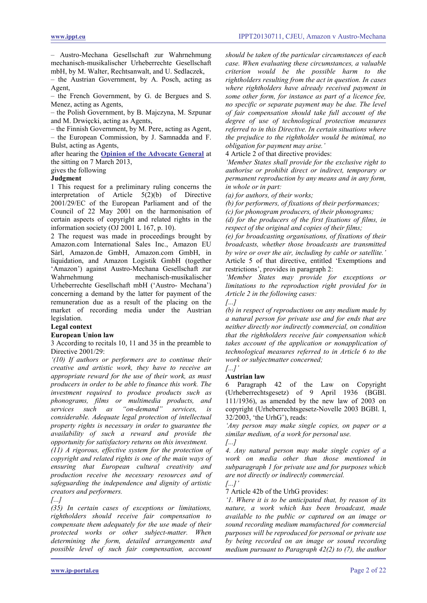– Austro-Mechana Gesellschaft zur Wahrnehmung mechanisch-musikalischer Urheberrechte Gesellschaft mbH, by M. Walter, Rechtsanwalt, and U. Sedlaczek,

– the Austrian Government, by A. Posch, acting as Agent,

– the French Government, by G. de Bergues and S. Menez, acting as Agents,

– the Polish Government, by B. Majczyna, M. Szpunar and M. Drwięcki, acting as Agents,

– the Finnish Government, by M. Pere, acting as Agent, – the European Commission, by J. Samnadda and F. Bulst, acting as Agents,

after hearing the **[Opinion of the Advocate General](#page-7-1)** at the sitting on 7 March 2013,

gives the following

## **Judgment**

1 This request for a preliminary ruling concerns the interpretation of Article 5(2)(b) of Directive 2001/29/EC of the European Parliament and of the Council of 22 May 2001 on the harmonisation of certain aspects of copyright and related rights in the information society (OJ 2001 L 167, p. 10).

2 The request was made in proceedings brought by Amazon.com International Sales Inc., Amazon EU Sàrl, Amazon.de GmbH, Amazon.com GmbH, in liquidation, and Amazon Logistik GmbH (together 'Amazon') against Austro-Mechana Gesellschaft zur mechanisch-musikalischer Urheberrechte Gesellschaft mbH ('Austro- Mechana') concerning a demand by the latter for payment of the remuneration due as a result of the placing on the market of recording media under the Austrian legislation.

# **Legal context**

# **European Union law**

3 According to recitals 10, 11 and 35 in the preamble to Directive 2001/29:

*'(10) If authors or performers are to continue their creative and artistic work, they have to receive an appropriate reward for the use of their work, as must producers in order to be able to finance this work. The investment required to produce products such as phonograms, films or multimedia products, and services such as "on-demand" services, is considerable. Adequate legal protection of intellectual property rights is necessary in order to guarantee the availability of such a reward and provide the opportunity for satisfactory returns on this investment.*

*(11) A rigorous, effective system for the protection of copyright and related rights is one of the main ways of ensuring that European cultural creativity and production receive the necessary resources and of safeguarding the independence and dignity of artistic creators and performers.*

### *[...]*

*(35) In certain cases of exceptions or limitations, rightholders should receive fair compensation to compensate them adequately for the use made of their protected works or other subject-matter. When determining the form, detailed arrangements and possible level of such fair compensation, account*  *should be taken of the particular circumstances of each case. When evaluating these circumstances, a valuable criterion would be the possible harm to the rightholders resulting from the act in question. In cases where rightholders have already received payment in some other form, for instance as part of a licence fee, no specific or separate payment may be due. The level of fair compensation should take full account of the degree of use of technological protection measures referred to in this Directive. In certain situations where the prejudice to the rightholder would be minimal, no obligation for payment may arise.'*

4 Article 2 of that directive provides:

*'Member States shall provide for the exclusive right to authorise or prohibit direct or indirect, temporary or permanent reproduction by any means and in any form, in whole or in part:*

*(a) for authors, of their works;*

*(b) for performers, of fixations of their performances; (c) for phonogram producers, of their phonograms;*

*(d) for the producers of the first fixations of films, in respect of the original and copies of their films;*

*(e) for broadcasting organisations, of fixations of their broadcasts, whether those broadcasts are transmitted by wire or over the air, including by cable or satellite.'* Article 5 of that directive, entitled 'Exemptions and restrictions', provides in paragraph 2:

*'Member States may provide for exceptions or limitations to the reproduction right provided for in Article 2 in the following cases:*

*[...]*

*(b) in respect of reproductions on any medium made by a natural person for private use and for ends that are neither directly nor indirectly commercial, on condition that the rightholders receive fair compensation which takes account of the application or nonapplication of technological measures referred to in Article 6 to the work or subjectmatter concerned;*

# *[...]'*

**Austrian law**

6 Paragraph 42 of the Law on Copyright (Urheberrechtsgesetz) of 9 April 1936 (BGBl. 111/1936), as amended by the new law of 2003 on copyright (Urheberrechtsgesetz-Novelle 2003 BGBl. I, 32/2003, 'the UrhG'), reads:

*'Any person may make single copies, on paper or a similar medium, of a work for personal use.*

*[...]*

*4. Any natural person may make single copies of a work on media other than those mentioned in subparagraph 1 for private use and for purposes which are not directly or indirectly commercial.*

*[...]'*

7 Article 42b of the UrhG provides:

*'1. Where it is to be anticipated that, by reason of its nature, a work which has been broadcast, made available to the public or captured on an image or sound recording medium manufactured for commercial purposes will be reproduced for personal or private use by being recorded on an image or sound recording medium pursuant to Paragraph 42(2) to (7), the author*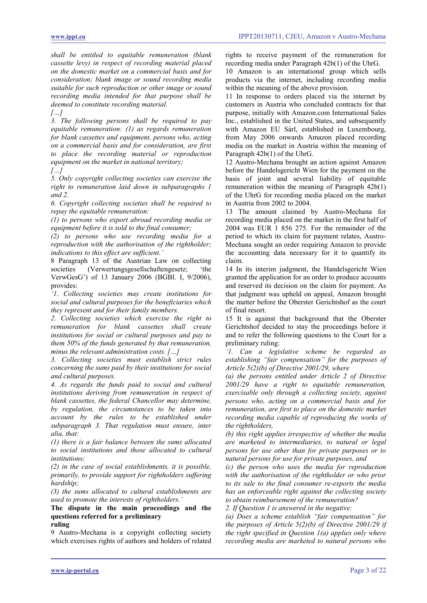*shall be entitled to equitable remuneration (blank cassette levy) in respect of recording material placed on the domestic market on a commercial basis and for consideration; blank image or sound recording media suitable for such reproduction or other image or sound recording media intended for that purpose shall be deemed to constitute recording material.*

*[…]*

*3. The following persons shall be required to pay equitable remuneration: (1) as regards remuneration for blank cassettes and equipment, persons who, acting on a commercial basis and for consideration, are first to place the recording material or reproduction equipment on the market in national territory;*

*[…]*

*5. Only copyright collecting societies can exercise the right to remuneration laid down in subparagraphs 1 and 2.*

*6. Copyright collecting societies shall be required to repay the equitable remuneration:*

*(1) to persons who export abroad recording media or equipment before it is sold to the final consumer;*

*(2) to persons who use recording media for a reproduction with the authorisation of the rightholder; indications to this effect are sufficient.'*

8 Paragraph 13 of the Austrian Law on collecting societies (Verwertungsgesellschaftengesetz; 'the VerwGesG') of 13 January 2006 (BGBl. I, 9/2006), provides:

*'1. Collecting societies may create institutions for social and cultural purposes for the beneficiaries which they represent and for their family members.*

*2. Collecting societies which exercise the right to remuneration for blank cassettes shall create institutions for social or cultural purposes and pay to them 50% of the funds generated by that remuneration, minus the relevant administration costs. […]*

*3. Collecting societies must establish strict rules concerning the sums paid by their institutions for social and cultural purposes.*

*4. As regards the funds paid to social and cultural institutions deriving from remuneration in respect of blank cassettes, the federal Chancellor may determine, by regulation, the circumstances to be taken into account by the rules to be established under subparagraph 3. That regulation must ensure, inter alia, that:*

*(1) there is a fair balance between the sums allocated to social institutions and those allocated to cultural institutions;*

*(2) in the case of social establishments, it is possible, primarily, to provide support for rightholders suffering hardship;*

*(3) the sums allocated to cultural establishments are used to promote the interests of rightholders.'*

**The dispute in the main proceedings and the questions referred for a preliminary ruling**

9 Austro-Mechana is a copyright collecting society which exercises rights of authors and holders of related rights to receive payment of the remuneration for recording media under Paragraph 42b(1) of the UhrG.

10 Amazon is an international group which sells products via the internet, including recording media within the meaning of the above provision.

11 In response to orders placed via the internet by customers in Austria who concluded contracts for that purpose, initially with Amazon.com International Sales Inc., established in the United States, and subsequently with Amazon EU Sàrl, established in Luxembourg, from May 2006 onwards Amazon placed recording media on the market in Austria within the meaning of Paragraph 42b(1) of the UhrG.

12 Austro-Mechana brought an action against Amazon before the Handelsgericht Wien for the payment on the basis of joint and several liability of equitable remuneration within the meaning of Paragraph 42b(1) of the UhrG for recording media placed on the market in Austria from 2002 to 2004.

13 The amount claimed by Austro-Mechana for recording media placed on the market in the first half of 2004 was EUR 1 856 275. For the remainder of the period to which its claim for payment relates, Austro-Mechana sought an order requiring Amazon to provide the accounting data necessary for it to quantify its claim.

14 In its interim judgment, the Handelsgericht Wien granted the application for an order to produce accounts and reserved its decision on the claim for payment. As that judgment was upheld on appeal, Amazon brought the matter before the Oberster Gerichtshof as the court of final resort.

15 It is against that background that the Oberster Gerichtshof decided to stay the proceedings before it and to refer the following questions to the Court for a preliminary ruling:

*'1. Can a legislative scheme be regarded as establishing "fair compensation" for the purposes of Article 5(2)(b) of Directive 2001/29, where*

*(a) the persons entitled under Article 2 of Directive 2001/29 have a right to equitable remuneration, exercisable only through a collecting society, against persons who, acting on a commercial basis and for remuneration, are first to place on the domestic market recording media capable of reproducing the works of the rightholders,*

*(b) this right applies irrespective of whether the media are marketed to intermediaries, to natural or legal persons for use other than for private purposes or to natural persons for use for private purposes, and*

*(c) the person who uses the media for reproduction with the authorisation of the rightholder or who prior to its sale to the final consumer re-exports the media has an enforceable right against the collecting society to obtain reimbursement of the remuneration?*

*2. If Question 1 is answered in the negative:*

*(a) Does a scheme establish "fair compensation" for the purposes of Article 5(2)(b) of Directive 2001/29 if the right specified in Question 1(a) applies only where recording media are marketed to natural persons who*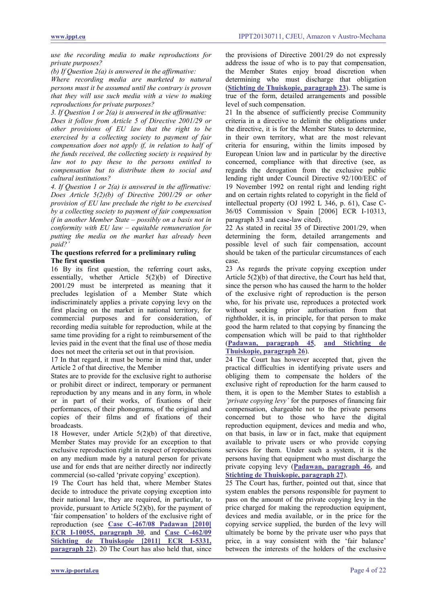*use the recording media to make reproductions for private purposes?*

*(b) If Question 2(a) is answered in the affirmative:*

*Where recording media are marketed to natural persons must it be assumed until the contrary is proven that they will use such media with a view to making reproductions for private purposes?*

*3. If Question 1 or 2(a) is answered in the affirmative:*

*Does it follow from Article 5 of Directive 2001/29 or other provisions of EU law that the right to be exercised by a collecting society to payment of fair compensation does not apply if, in relation to half of the funds received, the collecting society is required by law not to pay these to the persons entitled to compensation but to distribute them to social and cultural institutions?*

*4. If Question 1 or 2(a) is answered in the affirmative: Does Article 5(2)(b) of Directive 2001/29 or other provision of EU law preclude the right to be exercised by a collecting society to payment of fair compensation if in another Member State – possibly on a basis not in conformity with EU law – equitable remuneration for putting the media on the market has already been paid?'*

### **The questions referred for a preliminary ruling The first question**

16 By its first question, the referring court asks, essentially, whether Article 5(2)(b) of Directive 2001/29 must be interpreted as meaning that it precludes legislation of a Member State which indiscriminately applies a private copying levy on the first placing on the market in national territory, for commercial purposes and for consideration, of recording media suitable for reproduction, while at the same time providing for a right to reimbursement of the levies paid in the event that the final use of those media does not meet the criteria set out in that provision.

17 In that regard, it must be borne in mind that, under Article 2 of that directive, the Member

States are to provide for the exclusive right to authorise or prohibit direct or indirect, temporary or permanent reproduction by any means and in any form, in whole or in part of their works, of fixations of their performances, of their phonograms, of the original and copies of their films and of fixations of their broadcasts.

18 However, under Article 5(2)(b) of that directive, Member States may provide for an exception to that exclusive reproduction right in respect of reproductions on any medium made by a natural person for private use and for ends that are neither directly nor indirectly commercial (so-called 'private copying' exception).

19 The Court has held that, where Member States decide to introduce the private copying exception into their national law, they are required, in particular, to provide, pursuant to Article 5(2)(b), for the payment of 'fair compensation' to holders of the exclusive right of reproduction (see **[Case C-467/08 Padawan \[2010\]](http://www.boek9.nl/files/2010/IEPT20101021_HvJEU_Padawan_v_SGAE.pdf)  [ECR I-10055, paragraph 30](http://www.boek9.nl/files/2010/IEPT20101021_HvJEU_Padawan_v_SGAE.pdf)**, and **Case [C-462/09](http://www.boek9.nl/files/2011/IEPT20110616_HvJEU_Thuiskopie_v_Opus.pdf)  [Stichting de Thuiskopie \[2011\] ECR I-5331,](http://www.boek9.nl/files/2011/IEPT20110616_HvJEU_Thuiskopie_v_Opus.pdf)  [paragraph 22](http://www.boek9.nl/files/2011/IEPT20110616_HvJEU_Thuiskopie_v_Opus.pdf)**). 20 The Court has also held that, since

the provisions of Directive 2001/29 do not expressly address the issue of who is to pay that compensation, the Member States enjoy broad discretion when determining who must discharge that obligation (**[Stichting de Thuiskopie,](http://www.boek9.nl/files/2011/IEPT20110616_HvJEU_Thuiskopie_v_Opus.pdf) paragraph 23**). The same is true of the form, detailed arrangements and possible level of such compensation.

21 In the absence of sufficiently precise Community criteria in a directive to delimit the obligations under the directive, it is for the Member States to determine, in their own territory, what are the most relevant criteria for ensuring, within the limits imposed by European Union law and in particular by the directive concerned, compliance with that directive (see, as regards the derogation from the exclusive public lending right under Council Directive 92/100/EEC of 19 November 1992 on rental right and lending right and on certain rights related to copyright in the field of intellectual property (OJ 1992 L 346, p. 61), Case C-36/05 Commission v Spain [2006] ECR I-10313, paragraph 33 and case-law cited).

22 As stated in recital 35 of Directive 2001/29, when determining the form, detailed arrangements and possible level of such fair compensation, account should be taken of the particular circumstances of each case.

23 As regards the private copying exception under Article 5(2)(b) of that directive, the Court has held that, since the person who has caused the harm to the holder of the exclusive right of reproduction is the person who, for his private use, reproduces a protected work without seeking prior authorisation from that rightholder, it is, in principle, for that person to make good the harm related to that copying by financing the compensation which will be paid to that rightholder (**[Padawan, paragraph 45](http://www.boek9.nl/files/2010/IEPT20101021_HvJEU_Padawan_v_SGAE.pdf)**, **[and Stichting de](http://www.boek9.nl/files/2011/IEPT20110616_HvJEU_Thuiskopie_v_Opus.pdf)  [Thuiskopie, paragraph 26](http://www.boek9.nl/files/2011/IEPT20110616_HvJEU_Thuiskopie_v_Opus.pdf)**).

24 The Court has however accepted that, given the practical difficulties in identifying private users and obliging them to compensate the holders of the exclusive right of reproduction for the harm caused to them, it is open to the Member States to establish a *'private copying levy'* for the purposes of financing fair compensation, chargeable not to the private persons concerned but to those who have the digital reproduction equipment, devices and media and who, on that basis, in law or in fact, make that equipment available to private users or who provide copying services for them. Under such a system, it is the persons having that equipment who must discharge the private copying levy (**[Padawan, paragraph 46](http://www.boek9.nl/files/2010/IEPT20101021_HvJEU_Padawan_v_SGAE.pdf)**, and **[Stichting de Thuiskopie, paragraph 27](http://www.boek9.nl/files/2011/IEPT20110616_HvJEU_Thuiskopie_v_Opus.pdf)**).

25 The Court has, further, pointed out that, since that system enables the persons responsible for payment to pass on the amount of the private copying levy in the price charged for making the reproduction equipment, devices and media available, or in the price for the copying service supplied, the burden of the levy will ultimately be borne by the private user who pays that price, in a way consistent with the 'fair balance' between the interests of the holders of the exclusive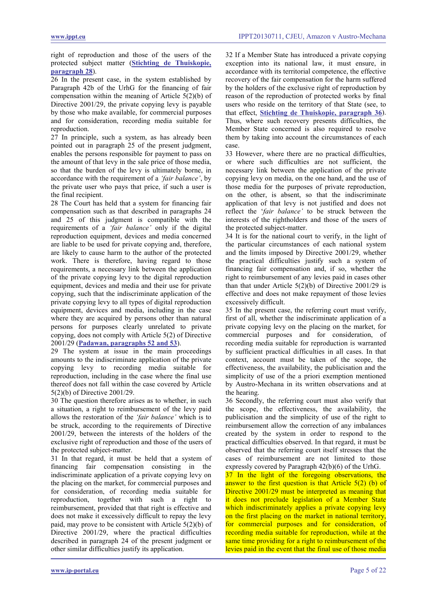right of reproduction and those of the users of the protected subject matter (**[Stichting de Thuiskopie,](http://www.boek9.nl/files/2011/IEPT20110616_HvJEU_Thuiskopie_v_Opus.pdf)  [paragraph 28](http://www.boek9.nl/files/2011/IEPT20110616_HvJEU_Thuiskopie_v_Opus.pdf)**).

26 In the present case, in the system established by Paragraph 42b of the UrhG for the financing of fair compensation within the meaning of Article 5(2)(b) of Directive 2001/29, the private copying levy is payable by those who make available, for commercial purposes and for consideration, recording media suitable for reproduction.

27 In principle, such a system, as has already been pointed out in paragraph 25 of the present judgment, enables the persons responsible for payment to pass on the amount of that levy in the sale price of those media, so that the burden of the levy is ultimately borne, in accordance with the requirement of a *'fair balance'*, by the private user who pays that price, if such a user is the final recipient.

28 The Court has held that a system for financing fair compensation such as that described in paragraphs 24 and 25 of this judgment is compatible with the requirements of a *'fair balance'* only if the digital reproduction equipment, devices and media concerned are liable to be used for private copying and, therefore, are likely to cause harm to the author of the protected work. There is therefore, having regard to those requirements, a necessary link between the application of the private copying levy to the digital reproduction equipment, devices and media and their use for private copying, such that the indiscriminate application of the private copying levy to all types of digital reproduction equipment, devices and media, including in the case where they are acquired by persons other than natural persons for purposes clearly unrelated to private copying, does not comply with Article 5(2) of Directive 2001/29 (**[Padawan, paragraphs 52 and 53](http://www.boek9.nl/files/2010/IEPT20101021_HvJEU_Padawan_v_SGAE.pdf)**).

29 The system at issue in the main proceedings amounts to the indiscriminate application of the private copying levy to recording media suitable for reproduction, including in the case where the final use thereof does not fall within the case covered by Article 5(2)(b) of Directive 2001/29.

30 The question therefore arises as to whether, in such a situation, a right to reimbursement of the levy paid allows the restoration of the *'fair balance'* which is to be struck, according to the requirements of Directive 2001/29, between the interests of the holders of the exclusive right of reproduction and those of the users of the protected subject-matter.

31 In that regard, it must be held that a system of financing fair compensation consisting in the indiscriminate application of a private copying levy on the placing on the market, for commercial purposes and for consideration, of recording media suitable for reproduction, together with such a right to reimbursement, provided that that right is effective and does not make it excessively difficult to repay the levy paid, may prove to be consistent with Article 5(2)(b) of Directive 2001/29, where the practical difficulties described in paragraph 24 of the present judgment or other similar difficulties justify its application.

32 If a Member State has introduced a private copying exception into its national law, it must ensure, in accordance with its territorial competence, the effective recovery of the fair compensation for the harm suffered by the holders of the exclusive right of reproduction by reason of the reproduction of protected works by final users who reside on the territory of that State (see, to that effect, **[Stichting de Thuiskopie, paragraph 36](http://www.boek9.nl/files/2011/IEPT20110616_HvJEU_Thuiskopie_v_Opus.pdf)**). Thus, where such recovery presents difficulties, the Member State concerned is also required to resolve them by taking into account the circumstances of each case.

33 However, where there are no practical difficulties, or where such difficulties are not sufficient, the necessary link between the application of the private copying levy on media, on the one hand, and the use of those media for the purposes of private reproduction, on the other, is absent, so that the indiscriminate application of that levy is not justified and does not reflect the '*fair balance'* to be struck between the interests of the rightholders and those of the users of the protected subject-matter.

34 It is for the national court to verify, in the light of the particular circumstances of each national system and the limits imposed by Directive 2001/29, whether the practical difficulties justify such a system of financing fair compensation and, if so, whether the right to reimbursement of any levies paid in cases other than that under Article  $5(2)(b)$  of Directive 2001/29 is effective and does not make repayment of those levies excessively difficult.

35 In the present case, the referring court must verify, first of all, whether the indiscriminate application of a private copying levy on the placing on the market, for commercial purposes and for consideration, of recording media suitable for reproduction is warranted by sufficient practical difficulties in all cases. In that context, account must be taken of the scope, the effectiveness, the availability, the publicisation and the simplicity of use of the a priori exemption mentioned by Austro-Mechana in its written observations and at the hearing.

36 Secondly, the referring court must also verify that the scope, the effectiveness, the availability, the publicisation and the simplicity of use of the right to reimbursement allow the correction of any imbalances created by the system in order to respond to the practical difficulties observed. In that regard, it must be observed that the referring court itself stresses that the cases of reimbursement are not limited to those expressly covered by Paragraph 42(b)(6) of the UrhG.

<span id="page-4-0"></span>37 In the light of the foregoing observations, the answer to the first question is that Article  $5(2)$  (b) of Directive 2001/29 must be interpreted as meaning that it does not preclude legislation of a Member State which indiscriminately applies a private copying levy on the first placing on the market in national territory, for commercial purposes and for consideration, of recording media suitable for reproduction, while at the same time providing for a right to reimbursement of the levies paid in the event that the final use of those media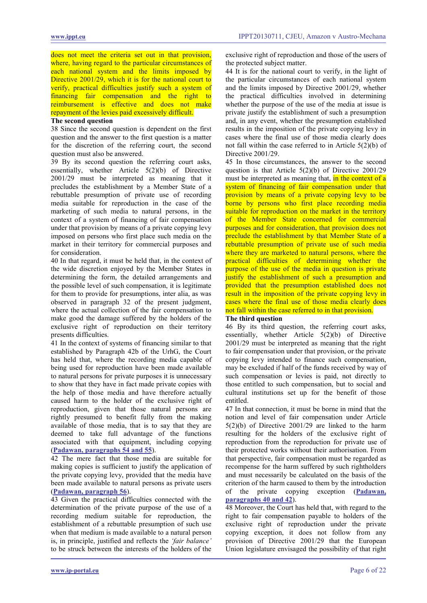does not meet the criteria set out in that provision, where, having regard to the particular circumstances of each national system and the limits imposed by Directive 2001/29, which it is for the national court to verify, practical difficulties justify such a system of financing fair compensation and the right to reimbursement is effective and does not make repayment of the levies paid excessively difficult.

## **The second question**

38 Since the second question is dependent on the first question and the answer to the first question is a matter for the discretion of the referring court, the second question must also be answered.

39 By its second question the referring court asks, essentially, whether Article 5(2)(b) of Directive 2001/29 must be interpreted as meaning that it precludes the establishment by a Member State of a rebuttable presumption of private use of recording media suitable for reproduction in the case of the marketing of such media to natural persons, in the context of a system of financing of fair compensation under that provision by means of a private copying levy imposed on persons who first place such media on the market in their territory for commercial purposes and for consideration.

40 In that regard, it must be held that, in the context of the wide discretion enjoyed by the Member States in determining the form, the detailed arrangements and the possible level of such compensation, it is legitimate for them to provide for presumptions, inter alia, as was observed in paragraph 32 of the present judgment, where the actual collection of the fair compensation to make good the damage suffered by the holders of the exclusive right of reproduction on their territory presents difficulties.

41 In the context of systems of financing similar to that established by Paragraph 42b of the UrhG, the Court has held that, where the recording media capable of being used for reproduction have been made available to natural persons for private purposes it is unnecessary to show that they have in fact made private copies with the help of those media and have therefore actually caused harm to the holder of the exclusive right of reproduction, given that those natural persons are rightly presumed to benefit fully from the making available of those media, that is to say that they are deemed to take full advantage of the functions associated with that equipment, including copying (**[Padawan, paragraphs 54 and](http://www.boek9.nl/files/2010/IEPT20101021_HvJEU_Padawan_v_SGAE.pdf) 55**).

42 The mere fact that those media are suitable for making copies is sufficient to justify the application of the private copying levy, provided that the media have been made available to natural persons as private users (**[Padawan, paragraph 56](http://www.boek9.nl/files/2010/IEPT20101021_HvJEU_Padawan_v_SGAE.pdf)**).

43 Given the practical difficulties connected with the determination of the private purpose of the use of a recording medium suitable for reproduction, the establishment of a rebuttable presumption of such use when that medium is made available to a natural person is, in principle, justified and reflects the *'fair balance'* to be struck between the interests of the holders of the

exclusive right of reproduction and those of the users of the protected subject matter.

44 It is for the national court to verify, in the light of the particular circumstances of each national system and the limits imposed by Directive 2001/29, whether the practical difficulties involved in determining whether the purpose of the use of the media at issue is private justify the establishment of such a presumption and, in any event, whether the presumption established results in the imposition of the private copying levy in cases where the final use of those media clearly does not fall within the case referred to in Article 5(2)(b) of Directive 2001/29.

<span id="page-5-0"></span>45 In those circumstances, the answer to the second question is that Article 5(2)(b) of Directive 2001/29 must be interpreted as meaning that, in the context of a system of financing of fair compensation under that provision by means of a private copying levy to be borne by persons who first place recording media suitable for reproduction on the market in the territory of the Member State concerned for commercial purposes and for consideration, that provision does not preclude the establishment by that Member State of a rebuttable presumption of private use of such media where they are marketed to natural persons, where the practical difficulties of determining whether the purpose of the use of the media in question is private justify the establishment of such a presumption and provided that the presumption established does not result in the imposition of the private copying levy in cases where the final use of those media clearly does not fall within the case referred to in that provision.

### **The third question**

46 By its third question, the referring court asks, essentially, whether Article 5(2)(b) of Directive 2001/29 must be interpreted as meaning that the right to fair compensation under that provision, or the private copying levy intended to finance such compensation, may be excluded if half of the funds received by way of such compensation or levies is paid, not directly to those entitled to such compensation, but to social and cultural institutions set up for the benefit of those entitled.

47 In that connection, it must be borne in mind that the notion and level of fair compensation under Article 5(2)(b) of Directive 2001/29 are linked to the harm resulting for the holders of the exclusive right of reproduction from the reproduction for private use of their protected works without their authorisation. From that perspective, fair compensation must be regarded as recompense for the harm suffered by such rightholders and must necessarily be calculated on the basis of the criterion of the harm caused to them by the introduction<br>of the private copying exception (Padawan, of the private copying exception **[paragraphs 40 and 42](http://www.boek9.nl/files/2010/IEPT20101021_HvJEU_Padawan_v_SGAE.pdf)**).

48 Moreover, the Court has held that, with regard to the right to fair compensation payable to holders of the exclusive right of reproduction under the private copying exception, it does not follow from any provision of Directive 2001/29 that the European Union legislature envisaged the possibility of that right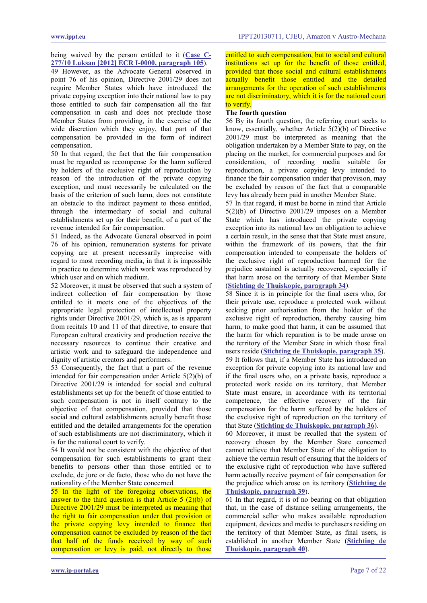being waived by the person entitled to it (**[Case](http://www.boek9.nl/files/2012/IEPT20120209_HvJEU_Luksan_v_van_der_Let.pdf) C-[277/10 Luksan \[2012\] ECR I-0000, paragraph 105](http://www.boek9.nl/files/2012/IEPT20120209_HvJEU_Luksan_v_van_der_Let.pdf)**).

49 However, as the Advocate General observed in point 76 of his opinion, Directive 2001/29 does not require Member States which have introduced the private copying exception into their national law to pay those entitled to such fair compensation all the fair compensation in cash and does not preclude those Member States from providing, in the exercise of the wide discretion which they enjoy, that part of that compensation be provided in the form of indirect compensation.

50 In that regard, the fact that the fair compensation must be regarded as recompense for the harm suffered by holders of the exclusive right of reproduction by reason of the introduction of the private copying exception, and must necessarily be calculated on the basis of the criterion of such harm, does not constitute an obstacle to the indirect payment to those entitled, through the intermediary of social and cultural establishments set up for their benefit, of a part of the revenue intended for fair compensation.

51 Indeed, as the Advocate General observed in point 76 of his opinion, remuneration systems for private copying are at present necessarily imprecise with regard to most recording media, in that it is impossible in practice to determine which work was reproduced by which user and on which medium.

52 Moreover, it must be observed that such a system of indirect collection of fair compensation by those entitled to it meets one of the objectives of the appropriate legal protection of intellectual property rights under Directive 2001/29, which is, as is apparent from recitals 10 and 11 of that directive, to ensure that European cultural creativity and production receive the necessary resources to continue their creative and artistic work and to safeguard the independence and dignity of artistic creators and performers.

53 Consequently, the fact that a part of the revenue intended for fair compensation under Article 5(2)(b) of Directive 2001/29 is intended for social and cultural establishments set up for the benefit of those entitled to such compensation is not in itself contrary to the objective of that compensation, provided that those social and cultural establishments actually benefit those entitled and the detailed arrangements for the operation of such establishments are not discriminatory, which it is for the national court to verify.

54 It would not be consistent with the objective of that compensation for such establishments to grant their benefits to persons other than those entitled or to exclude, de jure or de facto, those who do not have the nationality of the Member State concerned.

<span id="page-6-0"></span>55 In the light of the foregoing observations, the answer to the third question is that Article  $5(2)(b)$  of Directive 2001/29 must be interpreted as meaning that the right to fair compensation under that provision or the private copying levy intended to finance that compensation cannot be excluded by reason of the fact that half of the funds received by way of such compensation or levy is paid, not directly to those

entitled to such compensation, but to social and cultural institutions set up for the benefit of those entitled, provided that those social and cultural establishments actually benefit those entitled and the detailed arrangements for the operation of such establishments are not discriminatory, which it is for the national court to verify.

## **The fourth question**

56 By its fourth question, the referring court seeks to know, essentially, whether Article 5(2)(b) of Directive 2001/29 must be interpreted as meaning that the obligation undertaken by a Member State to pay, on the placing on the market, for commercial purposes and for consideration, of recording media suitable for reproduction, a private copying levy intended to finance the fair compensation under that provision, may be excluded by reason of the fact that a comparable levy has already been paid in another Member State.

57 In that regard, it must be borne in mind that Article 5(2)(b) of Directive 2001/29 imposes on a Member State which has introduced the private copying exception into its national law an obligation to achieve a certain result, in the sense that that State must ensure, within the framework of its powers, that the fair compensation intended to compensate the holders of the exclusive right of reproduction harmed for the prejudice sustained is actually recovered, especially if that harm arose on the territory of that Member State (**[Stichting de Thuiskopie,](http://www.boek9.nl/files/2011/IEPT20110616_HvJEU_Thuiskopie_v_Opus.pdf) paragraph 34**).

58 Since it is in principle for the final users who, for their private use, reproduce a protected work without seeking prior authorisation from the holder of the exclusive right of reproduction, thereby causing him harm, to make good that harm, it can be assumed that the harm for which reparation is to be made arose on the territory of the Member State in which those final users reside (**[Stichting de Thuiskopie, paragraph 35](http://www.boek9.nl/files/2012/IEPT20120209_HvJEU_Luksan_v_van_der_Let.pdf)**). 59 It follows that, if a Member State has introduced an exception for private copying into its national law and if the final users who, on a private basis, reproduce a protected work reside on its territory, that Member State must ensure, in accordance with its territorial competence, the effective recovery of the fair compensation for the harm suffered by the holders of the exclusive right of reproduction on the territory of that State (**Stichting de [Thuiskopie, paragraph 36](http://www.boek9.nl/files/2011/IEPT20110616_HvJEU_Thuiskopie_v_Opus.pdf)**).

60 Moreover, it must be recalled that the system of recovery chosen by the Member State concerned cannot relieve that Member State of the obligation to achieve the certain result of ensuring that the holders of the exclusive right of reproduction who have suffered harm actually receive payment of fair compensation for the prejudice which arose on its territory (**[Stichting de](http://www.boek9.nl/files/2011/IEPT20110616_HvJEU_Thuiskopie_v_Opus.pdf)  [Thuiskopie, paragraph 39](http://www.boek9.nl/files/2011/IEPT20110616_HvJEU_Thuiskopie_v_Opus.pdf)**).

61 In that regard, it is of no bearing on that obligation that, in the case of distance selling arrangements, the commercial seller who makes available reproduction equipment, devices and media to purchasers residing on the territory of that Member State, as final users, is established in another Member State (**[Stichting de](http://www.boek9.nl/files/2011/IEPT20110616_HvJEU_Thuiskopie_v_Opus.pdf)  [Thuiskopie, paragraph 40](http://www.boek9.nl/files/2011/IEPT20110616_HvJEU_Thuiskopie_v_Opus.pdf)**).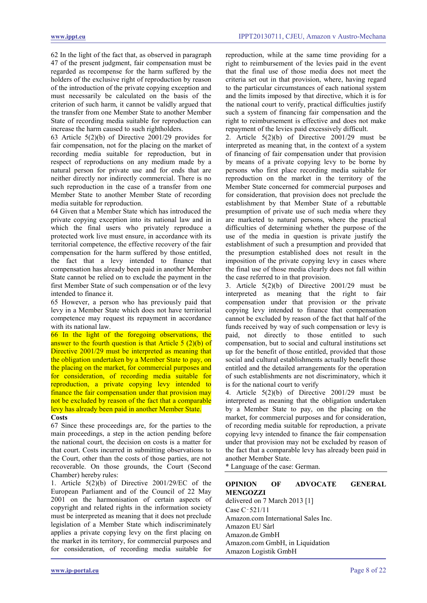62 In the light of the fact that, as observed in paragraph 47 of the present judgment, fair compensation must be regarded as recompense for the harm suffered by the holders of the exclusive right of reproduction by reason of the introduction of the private copying exception and must necessarily be calculated on the basis of the criterion of such harm, it cannot be validly argued that the transfer from one Member State to another Member State of recording media suitable for reproduction can increase the harm caused to such rightholders.

63 Article 5(2)(b) of Directive 2001/29 provides for fair compensation, not for the placing on the market of recording media suitable for reproduction, but in respect of reproductions on any medium made by a natural person for private use and for ends that are neither directly nor indirectly commercial. There is no such reproduction in the case of a transfer from one Member State to another Member State of recording media suitable for reproduction.

64 Given that a Member State which has introduced the private copying exception into its national law and in which the final users who privately reproduce a protected work live must ensure, in accordance with its territorial competence, the effective recovery of the fair compensation for the harm suffered by those entitled, the fact that a levy intended to finance that compensation has already been paid in another Member State cannot be relied on to exclude the payment in the first Member State of such compensation or of the levy intended to finance it.

65 However, a person who has previously paid that levy in a Member State which does not have territorial competence may request its repayment in accordance with its national law.

<span id="page-7-0"></span>66 In the light of the foregoing observations, the answer to the fourth question is that Article 5 (2)(b) of Directive 2001/29 must be interpreted as meaning that the obligation undertaken by a Member State to pay, on the placing on the market, for commercial purposes and for consideration, of recording media suitable for reproduction, a private copying levy intended to finance the fair compensation under that provision may not be excluded by reason of the fact that a comparable levy has already been paid in another Member State.

### **Costs**

67 Since these proceedings are, for the parties to the main proceedings, a step in the action pending before the national court, the decision on costs is a matter for that court. Costs incurred in submitting observations to the Court, other than the costs of those parties, are not recoverable. On those grounds, the Court (Second Chamber) hereby rules:

1. Article 5(2)(b) of Directive 2001/29/EC of the European Parliament and of the Council of 22 May 2001 on the harmonisation of certain aspects of copyright and related rights in the information society must be interpreted as meaning that it does not preclude legislation of a Member State which indiscriminately applies a private copying levy on the first placing on the market in its territory, for commercial purposes and for consideration, of recording media suitable for

reproduction, while at the same time providing for a right to reimbursement of the levies paid in the event that the final use of those media does not meet the criteria set out in that provision, where, having regard to the particular circumstances of each national system and the limits imposed by that directive, which it is for the national court to verify, practical difficulties justify such a system of financing fair compensation and the right to reimbursement is effective and does not make repayment of the levies paid excessively difficult.

2. Article 5(2)(b) of Directive 2001/29 must be interpreted as meaning that, in the context of a system of financing of fair compensation under that provision by means of a private copying levy to be borne by persons who first place recording media suitable for reproduction on the market in the territory of the Member State concerned for commercial purposes and for consideration, that provision does not preclude the establishment by that Member State of a rebuttable presumption of private use of such media where they are marketed to natural persons, where the practical difficulties of determining whether the purpose of the use of the media in question is private justify the establishment of such a presumption and provided that the presumption established does not result in the imposition of the private copying levy in cases where the final use of those media clearly does not fall within the case referred to in that provision.

3. Article 5(2)(b) of Directive 2001/29 must be interpreted as meaning that the right to fair compensation under that provision or the private copying levy intended to finance that compensation cannot be excluded by reason of the fact that half of the funds received by way of such compensation or levy is paid, not directly to those entitled to such compensation, but to social and cultural institutions set up for the benefit of those entitled, provided that those social and cultural establishments actually benefit those entitled and the detailed arrangements for the operation of such establishments are not discriminatory, which it is for the national court to verify

4. Article 5(2)(b) of Directive 2001/29 must be interpreted as meaning that the obligation undertaken by a Member State to pay, on the placing on the market, for commercial purposes and for consideration, of recording media suitable for reproduction, a private copying levy intended to finance the fair compensation under that provision may not be excluded by reason of the fact that a comparable levy has already been paid in another Member State.

\* Language of the case: German.

# <span id="page-7-1"></span>**OPINION OF ADVOCATE GENERAL MENGOZZI**

delivered on 7 March 2013 [1] Case C‑521/11 Amazon.com International Sales Inc. Amazon EU Sàrl Amazon.de GmbH Amazon.com GmbH, in Liquidation Amazon Logistik GmbH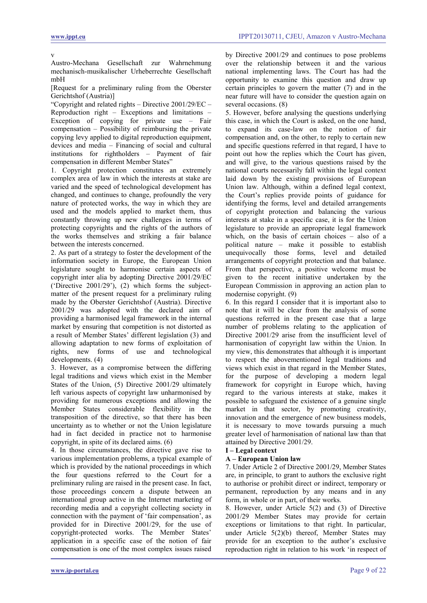#### v

Austro-Mechana Gesellschaft zur Wahrnehmung mechanisch-musikalischer Urheberrechte Gesellschaft mbH

[Request for a preliminary ruling from the Oberster Gerichtshof (Austria)]

"Copyright and related rights – Directive 2001/29/EC – Reproduction right – Exceptions and limitations – Exception of copying for private use – Fair compensation – Possibility of reimbursing the private copying levy applied to digital reproduction equipment, devices and media – Financing of social and cultural institutions for rightholders – Payment of fair compensation in different Member States"

1. Copyright protection constitutes an extremely complex area of law in which the interests at stake are varied and the speed of technological development has changed, and continues to change, profoundly the very nature of protected works, the way in which they are used and the models applied to market them, thus constantly throwing up new challenges in terms of protecting copyrights and the rights of the authors of the works themselves and striking a fair balance between the interests concerned.

2. As part of a strategy to foster the development of the information society in Europe, the European Union legislature sought to harmonise certain aspects of copyright inter alia by adopting Directive 2001/29/EC ('Directive 2001/29'), (2) which forms the subjectmatter of the present request for a preliminary ruling made by the Oberster Gerichtshof (Austria). Directive 2001/29 was adopted with the declared aim of providing a harmonised legal framework in the internal market by ensuring that competition is not distorted as a result of Member States' different legislation (3) and allowing adaptation to new forms of exploitation of rights, new forms of use and technological developments. (4)

3. However, as a compromise between the differing legal traditions and views which exist in the Member States of the Union, (5) Directive 2001/29 ultimately left various aspects of copyright law unharmonised by providing for numerous exceptions and allowing the Member States considerable flexibility in the transposition of the directive, so that there has been uncertainty as to whether or not the Union legislature had in fact decided in practice not to harmonise copyright, in spite of its declared aims. (6)

4. In those circumstances, the directive gave rise to various implementation problems, a typical example of which is provided by the national proceedings in which the four questions referred to the Court for a preliminary ruling are raised in the present case. In fact, those proceedings concern a dispute between an international group active in the Internet marketing of recording media and a copyright collecting society in connection with the payment of 'fair compensation', as provided for in Directive 2001/29, for the use of copyright-protected works. The Member States' application in a specific case of the notion of fair compensation is one of the most complex issues raised

by Directive 2001/29 and continues to pose problems over the relationship between it and the various national implementing laws. The Court has had the opportunity to examine this question and draw up certain principles to govern the matter (7) and in the near future will have to consider the question again on several occasions. (8)

5. However, before analysing the questions underlying this case, in which the Court is asked, on the one hand, to expand its case-law on the notion of fair compensation and, on the other, to reply to certain new and specific questions referred in that regard, I have to point out how the replies which the Court has given, and will give, to the various questions raised by the national courts necessarily fall within the legal context laid down by the existing provisions of European Union law. Although, within a defined legal context, the Court's replies provide points of guidance for identifying the forms, level and detailed arrangements of copyright protection and balancing the various interests at stake in a specific case, it is for the Union legislature to provide an appropriate legal framework which, on the basis of certain choices – also of a political nature – make it possible to establish unequivocally those forms, level and detailed arrangements of copyright protection and that balance. From that perspective, a positive welcome must be given to the recent initiative undertaken by the European Commission in approving an action plan to modernise copyright. (9)

6. In this regard I consider that it is important also to note that it will be clear from the analysis of some questions referred in the present case that a large number of problems relating to the application of Directive 2001/29 arise from the insufficient level of harmonisation of copyright law within the Union. In my view, this demonstrates that although it is important to respect the abovementioned legal traditions and views which exist in that regard in the Member States, for the purpose of developing a modern legal framework for copyright in Europe which, having regard to the various interests at stake, makes it possible to safeguard the existence of a genuine single market in that sector, by promoting creativity, innovation and the emergence of new business models, it is necessary to move towards pursuing a much greater level of harmonisation of national law than that attained by Directive 2001/29.

# **I – Legal context**

# **A – European Union law**

7. Under Article 2 of Directive 2001/29, Member States are, in principle, to grant to authors the exclusive right to authorise or prohibit direct or indirect, temporary or permanent, reproduction by any means and in any form, in whole or in part, of their works.

8. However, under Article 5(2) and (3) of Directive 2001/29 Member States may provide for certain exceptions or limitations to that right. In particular, under Article 5(2)(b) thereof, Member States may provide for an exception to the author's exclusive reproduction right in relation to his work 'in respect of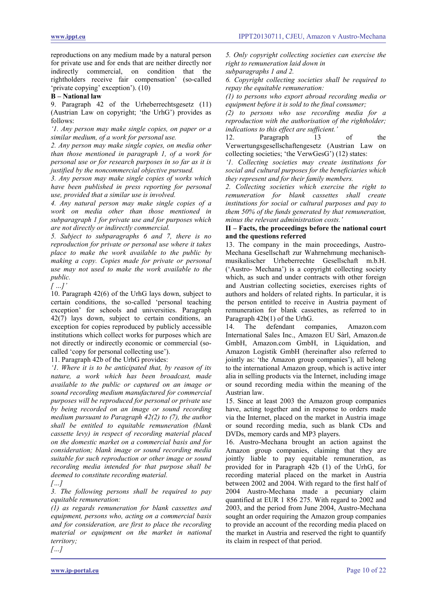reproductions on any medium made by a natural person for private use and for ends that are neither directly nor indirectly commercial, on condition that the rightholders receive fair compensation' (so-called 'private copying' exception'). (10)

### **B – National law**

9. Paragraph 42 of the Urheberrechtsgesetz (11) (Austrian Law on copyright; 'the UrhG') provides as follows:

*'1. Any person may make single copies, on paper or a similar medium, of a work for personal use.*

*2. Any person may make single copies, on media other than those mentioned in paragraph 1, of a work for personal use or for research purposes in so far as it is justified by the noncommercial objective pursued.*

*3. Any person may make single copies of works which have been published in press reporting for personal use, provided that a similar use is involved.*

*4. Any natural person may make single copies of a work on media other than those mentioned in subparagraph 1 for private use and for purposes which are not directly or indirectly commercial.*

*5. Subject to subparagraphs 6 and 7, there is no reproduction for private or personal use where it takes place to make the work available to the public by making a copy. Copies made for private or personal use may not used to make the work available to the public.*

*[ …]'*

10. Paragraph 42(6) of the UrhG lays down, subject to certain conditions, the so-called 'personal teaching exception' for schools and universities. Paragraph 42(7) lays down, subject to certain conditions, an exception for copies reproduced by publicly accessible institutions which collect works for purposes which are not directly or indirectly economic or commercial (socalled 'copy for personal collecting use').

11. Paragraph 42b of the UrhG provides:

*'1. Where it is to be anticipated that, by reason of its nature, a work which has been broadcast, made available to the public or captured on an image or sound recording medium manufactured for commercial purposes will be reproduced for personal or private use by being recorded on an image or sound recording medium pursuant to Paragraph 42(2) to (7), the author shall be entitled to equitable remuneration (blank cassette levy) in respect of recording material placed on the domestic market on a commercial basis and for consideration; blank image or sound recording media suitable for such reproduction or other image or sound recording media intended for that purpose shall be deemed to constitute recording material.*

*[…]*

*3. The following persons shall be required to pay equitable remuneration:*

*(1) as regards remuneration for blank cassettes and equipment, persons who, acting on a commercial basis and for consideration, are first to place the recording material or equipment on the market in national territory;*

*[…]*

*5. Only copyright collecting societies can exercise the right to remuneration laid down in*

*subparagraphs 1 and 2.*

*6. Copyright collecting societies shall be required to repay the equitable remuneration:*

*(1) to persons who export abroad recording media or equipment before it is sold to the final consumer;*

*(2) to persons who use recording media for a reproduction with the authorisation of the rightholder; indications to this effect are sufficient.'*

12. Paragraph 13 of the Verwertungsgesellschaftengesetz (Austrian Law on collecting societies; 'the VerwGesG') (12) states:

*'1. Collecting societies may create institutions for social and cultural purposes for the beneficiaries which they represent and for their family members.*

*2. Collecting societies which exercise the right to remuneration for blank cassettes shall create institutions for social or cultural purposes and pay to them 50% of the funds generated by that remuneration, minus the relevant administration costs.'*

## **II – Facts, the proceedings before the national court and the questions referred**

13. The company in the main proceedings, Austro-Mechana Gesellschaft zur Wahrnehmung mechanischmusikalischer Urheberrechte Gesellschaft m.b.H. ('Austro- Mechana') is a copyright collecting society which, as such and under contracts with other foreign and Austrian collecting societies, exercises rights of authors and holders of related rights. In particular, it is the person entitled to receive in Austria payment of remuneration for blank cassettes, as referred to in Paragraph 42b(1) of the UrhG.

14. The defendant companies, Amazon.com International Sales Inc., Amazon EU Sàrl, Amazon.de GmbH, Amazon.com GmbH, in Liquidation, and Amazon Logistik GmbH (hereinafter also referred to jointly as: 'the Amazon group companies'), all belong to the international Amazon group, which is active inter alia in selling products via the Internet, including image or sound recording media within the meaning of the Austrian law.

15. Since at least 2003 the Amazon group companies have, acting together and in response to orders made via the Internet, placed on the market in Austria image or sound recording media, such as blank CDs and DVDs, memory cards and MP3 players.

16. Austro-Mechana brought an action against the Amazon group companies, claiming that they are jointly liable to pay equitable remuneration, as provided for in Paragraph 42b (1) of the UrhG, for recording material placed on the market in Austria between 2002 and 2004. With regard to the first half of 2004 Austro-Mechana made a pecuniary claim quantified at EUR 1 856 275. With regard to 2002 and 2003, and the period from June 2004, Austro-Mechana sought an order requiring the Amazon group companies to provide an account of the recording media placed on the market in Austria and reserved the right to quantify its claim in respect of that period.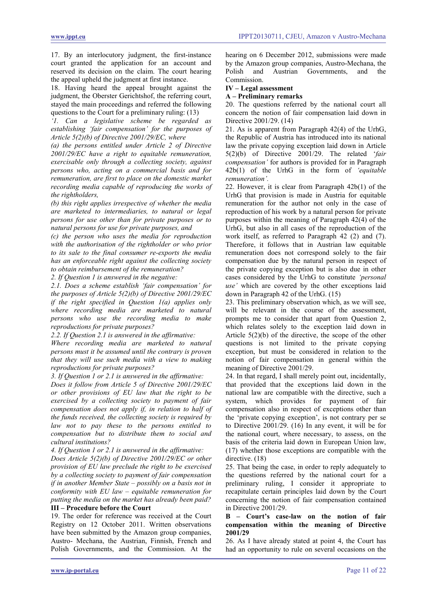17. By an interlocutory judgment, the first-instance court granted the application for an account and reserved its decision on the claim. The court hearing the appeal upheld the judgment at first instance.

18. Having heard the appeal brought against the judgment, the Oberster Gerichtshof, the referring court, stayed the main proceedings and referred the following questions to the Court for a preliminary ruling: (13)

*'1. Can a legislative scheme be regarded as establishing 'fair compensation' for the purposes of Article 5(2)(b) of Directive 2001/29/EC, where*

*(a) the persons entitled under Article 2 of Directive 2001/29/EC have a right to equitable remuneration, exercisable only through a collecting society, against persons who, acting on a commercial basis and for remuneration, are first to place on the domestic market recording media capable of reproducing the works of the rightholders,*

*(b) this right applies irrespective of whether the media are marketed to intermediaries, to natural or legal persons for use other than for private purposes or to natural persons for use for private purposes, and*

*(c) the person who uses the media for reproduction with the authorisation of the rightholder or who prior to its sale to the final consumer re-exports the media has an enforceable right against the collecting society to obtain reimbursement of the remuneration?*

*2. If Question 1 is answered in the negative:*

*2.1. Does a scheme establish 'fair compensation' for the purposes of Article 5(2)(b) of Directive 2001/29/EC if the right specified in Question 1(a) applies only where recording media are marketed to natural persons who use the recording media to make reproductions for private purposes?*

*2.2. If Question 2.1 is answered in the affirmative:*

*Where recording media are marketed to natural persons must it be assumed until the contrary is proven that they will use such media with a view to making reproductions for private purposes?*

*3. If Question 1 or 2.1 is answered in the affirmative:*

*Does it follow from Article 5 of Directive 2001/29/EC or other provisions of EU law that the right to be exercised by a collecting society to payment of fair compensation does not apply if, in relation to half of the funds received, the collecting society is required by law not to pay these to the persons entitled to compensation but to distribute them to social and cultural institutions?*

*4. If Question 1 or 2.1 is answered in the affirmative:*

*Does Article 5(2)(b) of Directive 2001/29/EC or other provision of EU law preclude the right to be exercised by a collecting society to payment of fair compensation if in another Member State – possibly on a basis not in conformity with EU law – equitable remuneration for putting the media on the market has already been paid?*

## **III – Procedure before the Court**

19. The order for reference was received at the Court Registry on 12 October 2011. Written observations have been submitted by the Amazon group companies, Austro- Mechana, the Austrian, Finnish, French and Polish Governments, and the Commission. At the hearing on 6 December 2012, submissions were made by the Amazon group companies, Austro-Mechana, the Polish and Austrian Governments, and the Commission.

# **IV – Legal assessment**

**A – Preliminary remarks**

20. The questions referred by the national court all concern the notion of fair compensation laid down in Directive 2001/29. (14)

21. As is apparent from Paragraph 42(4) of the UrhG, the Republic of Austria has introduced into its national law the private copying exception laid down in Article 5(2)(b) of Directive 2001/29. The related '*fair compensation'* for authors is provided for in Paragraph 42b(1) of the UrhG in the form of *'equitable remuneration'.*

22. However, it is clear from Paragraph 42b(1) of the UrhG that provision is made in Austria for equitable remuneration for the author not only in the case of reproduction of his work by a natural person for private purposes within the meaning of Paragraph 42(4) of the UrhG, but also in all cases of the reproduction of the work itself, as referred to Paragraph 42 (2) and (7). Therefore, it follows that in Austrian law equitable remuneration does not correspond solely to the fair compensation due by the natural person in respect of the private copying exception but is also due in other cases considered by the UrhG to constitute *'personal use'* which are covered by the other exceptions laid down in Paragraph 42 of the UrhG. (15)

23. This preliminary observation which, as we will see, will be relevant in the course of the assessment, prompts me to consider that apart from Question 2, which relates solely to the exception laid down in Article 5(2)(b) of the directive, the scope of the other questions is not limited to the private copying exception, but must be considered in relation to the notion of fair compensation in general within the meaning of Directive 2001/29.

24. In that regard, I shall merely point out, incidentally, that provided that the exceptions laid down in the national law are compatible with the directive, such a system, which provides for payment of fair compensation also in respect of exceptions other than the 'private copying exception', is not contrary per se to Directive 2001/29. (16) In any event, it will be for the national court, where necessary, to assess, on the basis of the criteria laid down in European Union law, (17) whether those exceptions are compatible with the directive.  $(18)$ 

25. That being the case, in order to reply adequately to the questions referred by the national court for a preliminary ruling, I consider it appropriate to recapitulate certain principles laid down by the Court concerning the notion of fair compensation contained in Directive 2001/29.

# **B – Court's case-law on the notion of fair compensation within the meaning of Directive 2001/29**

26. As I have already stated at point 4, the Court has had an opportunity to rule on several occasions on the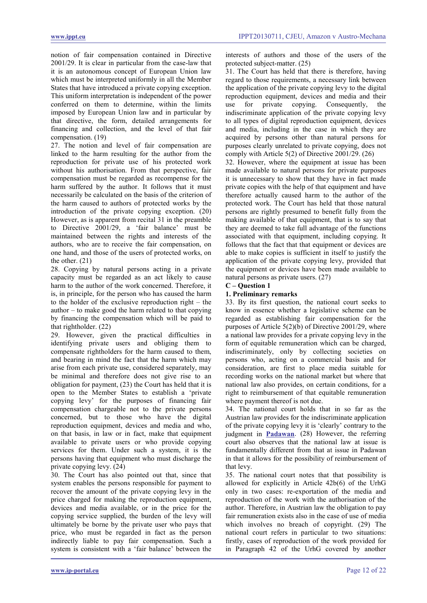notion of fair compensation contained in Directive 2001/29. It is clear in particular from the case-law that it is an autonomous concept of European Union law which must be interpreted uniformly in all the Member States that have introduced a private copying exception. This uniform interpretation is independent of the power conferred on them to determine, within the limits imposed by European Union law and in particular by that directive, the form, detailed arrangements for financing and collection, and the level of that fair compensation. (19)

27. The notion and level of fair compensation are linked to the harm resulting for the author from the reproduction for private use of his protected work without his authorisation. From that perspective, fair compensation must be regarded as recompense for the harm suffered by the author. It follows that it must necessarily be calculated on the basis of the criterion of the harm caused to authors of protected works by the introduction of the private copying exception. (20) However, as is apparent from recital 31 in the preamble to Directive 2001/29, a 'fair balance' must be maintained between the rights and interests of the authors, who are to receive the fair compensation, on one hand, and those of the users of protected works, on the other. (21)

28. Copying by natural persons acting in a private capacity must be regarded as an act likely to cause harm to the author of the work concerned. Therefore, it is, in principle, for the person who has caused the harm to the holder of the exclusive reproduction right – the author – to make good the harm related to that copying by financing the compensation which will be paid to that rightholder. (22)

29. However, given the practical difficulties in identifying private users and obliging them to compensate rightholders for the harm caused to them, and bearing in mind the fact that the harm which may arise from each private use, considered separately, may be minimal and therefore does not give rise to an obligation for payment, (23) the Court has held that it is open to the Member States to establish a 'private copying levy' for the purposes of financing fair compensation chargeable not to the private persons concerned, but to those who have the digital reproduction equipment, devices and media and who, on that basis, in law or in fact, make that equipment available to private users or who provide copying services for them. Under such a system, it is the persons having that equipment who must discharge the private copying levy. (24)

30. The Court has also pointed out that, since that system enables the persons responsible for payment to recover the amount of the private copying levy in the price charged for making the reproduction equipment, devices and media available, or in the price for the copying service supplied, the burden of the levy will ultimately be borne by the private user who pays that price, who must be regarded in fact as the person indirectly liable to pay fair compensation. Such a system is consistent with a 'fair balance' between the interests of authors and those of the users of the protected subject-matter. (25)

31. The Court has held that there is therefore, having regard to those requirements, a necessary link between the application of the private copying levy to the digital reproduction equipment, devices and media and their use for private copying. Consequently, the indiscriminate application of the private copying levy to all types of digital reproduction equipment, devices and media, including in the case in which they are acquired by persons other than natural persons for purposes clearly unrelated to private copying, does not comply with Article 5(2) of Directive 2001/29. (26)

32. However, where the equipment at issue has been made available to natural persons for private purposes it is unnecessary to show that they have in fact made private copies with the help of that equipment and have therefore actually caused harm to the author of the protected work. The Court has held that those natural persons are rightly presumed to benefit fully from the making available of that equipment, that is to say that they are deemed to take full advantage of the functions associated with that equipment, including copying. It follows that the fact that that equipment or devices are able to make copies is sufficient in itself to justify the application of the private copying levy, provided that the equipment or devices have been made available to natural persons as private users. (27)

# **C – Question 1**

## **1. Preliminary remarks**

33. By its first question, the national court seeks to know in essence whether a legislative scheme can be regarded as establishing fair compensation for the purposes of Article 5(2)(b) of Directive 2001/29, where a national law provides for a private copying levy in the form of equitable remuneration which can be charged, indiscriminately, only by collecting societies on persons who, acting on a commercial basis and for consideration, are first to place media suitable for recording works on the national market but where that national law also provides, on certain conditions, for a right to reimbursement of that equitable remuneration where payment thereof is not due.

34. The national court holds that in so far as the Austrian law provides for the indiscriminate application of the private copying levy it is 'clearly' contrary to the judgment in **[Padawan](http://www.boek9.nl/files/2010/IEPT20101021_HvJEU_Padawan_v_SGAE.pdf)**. (28) However, the referring court also observes that the national law at issue is fundamentally different from that at issue in Padawan in that it allows for the possibility of reimbursement of that levy.

35. The national court notes that that possibility is allowed for explicitly in Article 42b(6) of the UrhG only in two cases: re-exportation of the media and reproduction of the work with the authorisation of the author. Therefore, in Austrian law the obligation to pay fair remuneration exists also in the case of use of media which involves no breach of copyright. (29) The national court refers in particular to two situations: firstly, cases of reproduction of the work provided for in Paragraph 42 of the UrhG covered by another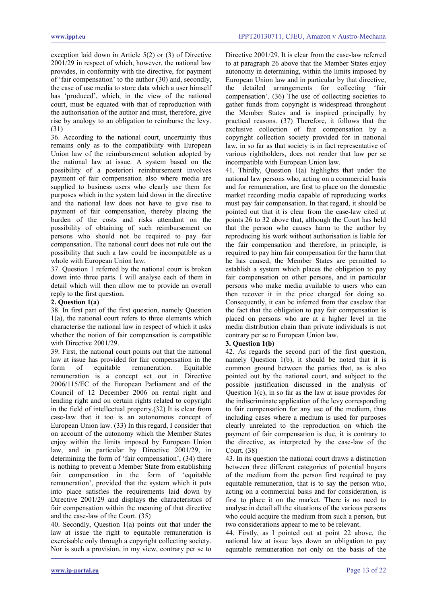exception laid down in Article 5(2) or (3) of Directive 2001/29 in respect of which, however, the national law provides, in conformity with the directive, for payment of 'fair compensation' to the author (30) and, secondly, the case of use media to store data which a user himself has 'produced', which, in the view of the national court, must be equated with that of reproduction with the authorisation of the author and must, therefore, give rise by analogy to an obligation to reimburse the levy. (31)

36. According to the national court, uncertainty thus remains only as to the compatibility with European Union law of the reimbursement solution adopted by the national law at issue. A system based on the possibility of a posteriori reimbursement involves payment of fair compensation also where media are supplied to business users who clearly use them for purposes which in the system laid down in the directive and the national law does not have to give rise to payment of fair compensation, thereby placing the burden of the costs and risks attendant on the possibility of obtaining of such reimbursement on persons who should not be required to pay fair compensation. The national court does not rule out the possibility that such a law could be incompatible as a whole with European Union law.

37. Question 1 referred by the national court is broken down into three parts. I will analyse each of them in detail which will then allow me to provide an overall reply to the first question.

## **2. Question 1(a)**

38. In first part of the first question, namely Question 1(a), the national court refers to three elements which characterise the national law in respect of which it asks whether the notion of fair compensation is compatible with Directive 2001/29.

39. First, the national court points out that the national law at issue has provided for fair compensation in the form of equitable remuneration. Equitable remuneration is a concept set out in Directive 2006/115/EC of the European Parliament and of the Council of 12 December 2006 on rental right and lending right and on certain rights related to copyright in the field of intellectual property.(32) It is clear from case-law that it too is an autonomous concept of European Union law. (33) In this regard, I consider that on account of the autonomy which the Member States enjoy within the limits imposed by European Union law, and in particular by Directive 2001/29, in determining the form of 'fair compensation', (34) there is nothing to prevent a Member State from establishing fair compensation in the form of 'equitable remuneration', provided that the system which it puts into place satisfies the requirements laid down by Directive 2001/29 and displays the characteristics of fair compensation within the meaning of that directive and the case-law of the Court. (35)

40. Secondly, Question 1(a) points out that under the law at issue the right to equitable remuneration is exercisable only through a copyright collecting society. Nor is such a provision, in my view, contrary per se to Directive 2001/29. It is clear from the case-law referred to at paragraph 26 above that the Member States enjoy autonomy in determining, within the limits imposed by European Union law and in particular by that directive,<br>the detailed arrangements for collecting 'fair the detailed arrangements for collecting compensation'. (36) The use of collecting societies to gather funds from copyright is widespread throughout the Member States and is inspired principally by practical reasons. (37) Therefore, it follows that the exclusive collection of fair compensation by a copyright collection society provided for in national law, in so far as that society is in fact representative of various rightholders, does not render that law per se incompatible with European Union law.

41. Thirdly, Question 1(a) highlights that under the national law persons who, acting on a commercial basis and for remuneration, are first to place on the domestic market recording media capable of reproducing works must pay fair compensation. In that regard, it should be pointed out that it is clear from the case-law cited at points 26 to 32 above that, although the Court has held that the person who causes harm to the author by reproducing his work without authorisation is liable for the fair compensation and therefore, in principle, is required to pay him fair compensation for the harm that he has caused, the Member States are permitted to establish a system which places the obligation to pay fair compensation on other persons, and in particular persons who make media available to users who can then recover it in the price charged for doing so. Consequently, it can be inferred from that caselaw that the fact that the obligation to pay fair compensation is placed on persons who are at a higher level in the media distribution chain than private individuals is not contrary per se to European Union law.

# **3. Question 1(b)**

42. As regards the second part of the first question, namely Question 1(b), it should be noted that it is common ground between the parties that, as is also pointed out by the national court, and subject to the possible justification discussed in the analysis of Question 1(c), in so far as the law at issue provides for the indiscriminate application of the levy corresponding to fair compensation for any use of the medium, thus including cases where a medium is used for purposes clearly unrelated to the reproduction on which the payment of fair compensation is due, it is contrary to the directive, as interpreted by the case-law of the Court. (38)

43. In its question the national court draws a distinction between three different categories of potential buyers of the medium from the person first required to pay equitable remuneration, that is to say the person who, acting on a commercial basis and for consideration, is first to place it on the market. There is no need to analyse in detail all the situations of the various persons who could acquire the medium from such a person, but two considerations appear to me to be relevant.

44. Firstly, as I pointed out at point 22 above, the national law at issue lays down an obligation to pay equitable remuneration not only on the basis of the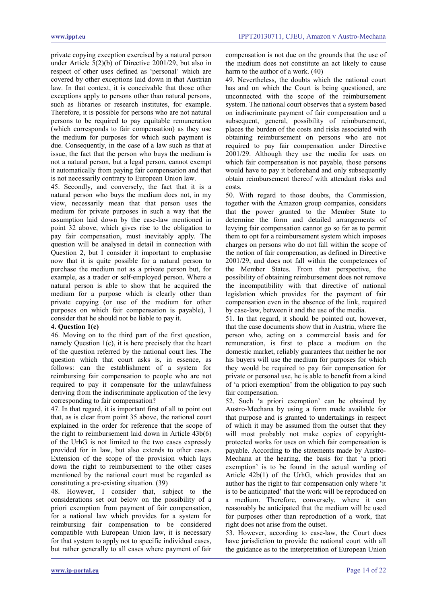private copying exception exercised by a natural person under Article 5(2)(b) of Directive 2001/29, but also in respect of other uses defined as 'personal' which are covered by other exceptions laid down in that Austrian law. In that context, it is conceivable that those other exceptions apply to persons other than natural persons, such as libraries or research institutes, for example. Therefore, it is possible for persons who are not natural persons to be required to pay equitable remuneration (which corresponds to fair compensation) as they use the medium for purposes for which such payment is due. Consequently, in the case of a law such as that at issue, the fact that the person who buys the medium is not a natural person, but a legal person, cannot exempt it automatically from paying fair compensation and that is not necessarily contrary to European Union law.

45. Secondly, and conversely, the fact that it is a natural person who buys the medium does not, in my view, necessarily mean that that person uses the medium for private purposes in such a way that the assumption laid down by the case-law mentioned in point 32 above, which gives rise to the obligation to pay fair compensation, must inevitably apply. The question will be analysed in detail in connection with Question 2, but I consider it important to emphasise now that it is quite possible for a natural person to purchase the medium not as a private person but, for example, as a trader or self-employed person. Where a natural person is able to show that he acquired the medium for a purpose which is clearly other than private copying (or use of the medium for other purposes on which fair compensation is payable), I consider that he should not be liable to pay it.

#### **4. Question 1(c)**

46. Moving on to the third part of the first question, namely Question 1(c), it is here precisely that the heart of the question referred by the national court lies. The question which that court asks is, in essence, as follows: can the establishment of a system for reimbursing fair compensation to people who are not required to pay it compensate for the unlawfulness deriving from the indiscriminate application of the levy corresponding to fair compensation?

47. In that regard, it is important first of all to point out that, as is clear from point 35 above, the national court explained in the order for reference that the scope of the right to reimbursement laid down in Article 43b(6) of the UrhG is not limited to the two cases expressly provided for in law, but also extends to other cases. Extension of the scope of the provision which lays down the right to reimbursement to the other cases mentioned by the national court must be regarded as constituting a pre-existing situation. (39)

48. However, I consider that, subject to the considerations set out below on the possibility of a priori exemption from payment of fair compensation, for a national law which provides for a system for reimbursing fair compensation to be considered compatible with European Union law, it is necessary for that system to apply not to specific individual cases, but rather generally to all cases where payment of fair compensation is not due on the grounds that the use of the medium does not constitute an act likely to cause harm to the author of a work. (40)

49. Nevertheless, the doubts which the national court has and on which the Court is being questioned, are unconnected with the scope of the reimbursement system. The national court observes that a system based on indiscriminate payment of fair compensation and a subsequent, general, possibility of reimbursement, places the burden of the costs and risks associated with obtaining reimbursement on persons who are not required to pay fair compensation under Directive 2001/29. Although they use the media for uses on which fair compensation is not payable, those persons would have to pay it beforehand and only subsequently obtain reimbursement thereof with attendant risks and costs.

50. With regard to those doubts, the Commission, together with the Amazon group companies, considers that the power granted to the Member State to determine the form and detailed arrangements of levying fair compensation cannot go so far as to permit them to opt for a reimbursement system which imposes charges on persons who do not fall within the scope of the notion of fair compensation, as defined in Directive 2001/29, and does not fall within the competences of the Member States. From that perspective, the possibility of obtaining reimbursement does not remove the incompatibility with that directive of national legislation which provides for the payment of fair compensation even in the absence of the link, required by case-law, between it and the use of the media.

51. In that regard, it should be pointed out, however, that the case documents show that in Austria, where the person who, acting on a commercial basis and for remuneration, is first to place a medium on the domestic market, reliably guarantees that neither he nor his buyers will use the medium for purposes for which they would be required to pay fair compensation for private or personal use, he is able to benefit from a kind of 'a priori exemption' from the obligation to pay such fair compensation.

52. Such 'a priori exemption' can be obtained by Austro-Mechana by using a form made available for that purpose and is granted to undertakings in respect of which it may be assumed from the outset that they will most probably not make copies of copyrightprotected works for uses on which fair compensation is payable. According to the statements made by Austro-Mechana at the hearing, the basis for that 'a priori exemption' is to be found in the actual wording of Article 42b(1) of the UrhG, which provides that an author has the right to fair compensation only where 'it is to be anticipated' that the work will be reproduced on a medium. Therefore, conversely, where it can reasonably be anticipated that the medium will be used for purposes other than reproduction of a work, that right does not arise from the outset.

53. However, according to case-law, the Court does have jurisdiction to provide the national court with all the guidance as to the interpretation of European Union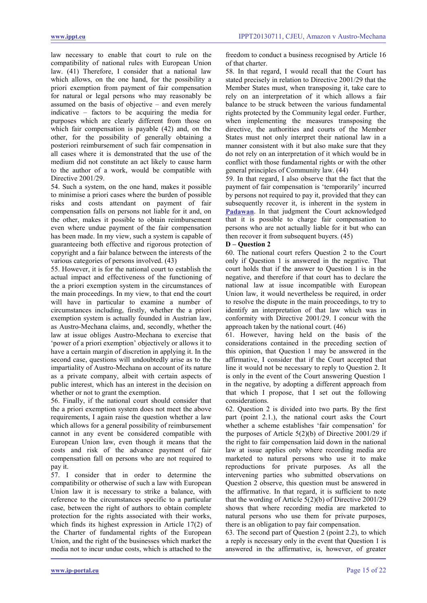law necessary to enable that court to rule on the compatibility of national rules with European Union law. (41) Therefore, I consider that a national law which allows, on the one hand, for the possibility a priori exemption from payment of fair compensation for natural or legal persons who may reasonably be assumed on the basis of objective – and even merely indicative – factors to be acquiring the media for purposes which are clearly different from those on which fair compensation is payable (42) and, on the other, for the possibility of generally obtaining a posteriori reimbursement of such fair compensation in all cases where it is demonstrated that the use of the medium did not constitute an act likely to cause harm to the author of a work, would be compatible with Directive 2001/29.

54. Such a system, on the one hand, makes it possible to minimise a priori cases where the burden of possible risks and costs attendant on payment of fair compensation falls on persons not liable for it and, on the other, makes it possible to obtain reimbursement even where undue payment of the fair compensation has been made. In my view, such a system is capable of guaranteeing both effective and rigorous protection of copyright and a fair balance between the interests of the various categories of persons involved. (43)

55. However, it is for the national court to establish the actual impact and effectiveness of the functioning of the a priori exemption system in the circumstances of the main proceedings. In my view, to that end the court will have in particular to examine a number of circumstances including, firstly, whether the a priori exemption system is actually founded in Austrian law, as Austro-Mechana claims, and, secondly, whether the law at issue obliges Austro-Mechana to exercise that 'power of a priori exemption' objectively or allows it to have a certain margin of discretion in applying it. In the second case, questions will undoubtedly arise as to the impartiality of Austro-Mechana on account of its nature as a private company, albeit with certain aspects of public interest, which has an interest in the decision on whether or not to grant the exemption.

56. Finally, if the national court should consider that the a priori exemption system does not meet the above requirements, I again raise the question whether a law which allows for a general possibility of reimbursement cannot in any event be considered compatible with European Union law, even though it means that the costs and risk of the advance payment of fair compensation fall on persons who are not required to pay it.

57. I consider that in order to determine the compatibility or otherwise of such a law with European Union law it is necessary to strike a balance, with reference to the circumstances specific to a particular case, between the right of authors to obtain complete protection for the rights associated with their works, which finds its highest expression in Article 17(2) of the Charter of fundamental rights of the European Union, and the right of the businesses which market the media not to incur undue costs, which is attached to the

freedom to conduct a business recognised by Article 16 of that charter.

58. In that regard, I would recall that the Court has stated precisely in relation to Directive 2001/29 that the Member States must, when transposing it, take care to rely on an interpretation of it which allows a fair balance to be struck between the various fundamental rights protected by the Community legal order. Further, when implementing the measures transposing the directive, the authorities and courts of the Member States must not only interpret their national law in a manner consistent with it but also make sure that they do not rely on an interpretation of it which would be in conflict with those fundamental rights or with the other general principles of Community law. (44)

59. In that regard, I also observe that the fact that the payment of fair compensation is 'temporarily' incurred by persons not required to pay it, provided that they can subsequently recover it, is inherent in the system in **[Padawan](http://www.boek9.nl/files/2010/IEPT20101021_HvJEU_Padawan_v_SGAE.pdf)**. In that judgment the Court acknowledged that it is possible to charge fair compensation to persons who are not actually liable for it but who can then recover it from subsequent buyers. (45)

# **D – Question 2**

60. The national court refers Question 2 to the Court only if Question 1 is answered in the negative. That court holds that if the answer to Question 1 is in the negative, and therefore if that court has to declare the national law at issue incompatible with European Union law, it would nevertheless be required, in order to resolve the dispute in the main proceedings, to try to identify an interpretation of that law which was in conformity with Directive 2001/29. I concur with the approach taken by the national court. (46)

61. However, having held on the basis of the considerations contained in the preceding section of this opinion, that Question 1 may be answered in the affirmative, I consider that if the Court accepted that line it would not be necessary to reply to Question 2. It is only in the event of the Court answering Question 1 in the negative, by adopting a different approach from that which I propose, that I set out the following considerations.

62. Question 2 is divided into two parts. By the first part (point 2.1.), the national court asks the Court whether a scheme establishes 'fair compensation' for the purposes of Article  $5(2)(b)$  of Directive 2001/29 if the right to fair compensation laid down in the national law at issue applies only where recording media are marketed to natural persons who use it to make reproductions for private purposes. As all the intervening parties who submitted observations on Question 2 observe, this question must be answered in the affirmative. In that regard, it is sufficient to note that the wording of Article 5(2)(b) of Directive 2001/29 shows that where recording media are marketed to natural persons who use them for private purposes, there is an obligation to pay fair compensation.

63. The second part of Question 2 (point 2.2), to which a reply is necessary only in the event that Question 1 is answered in the affirmative, is, however, of greater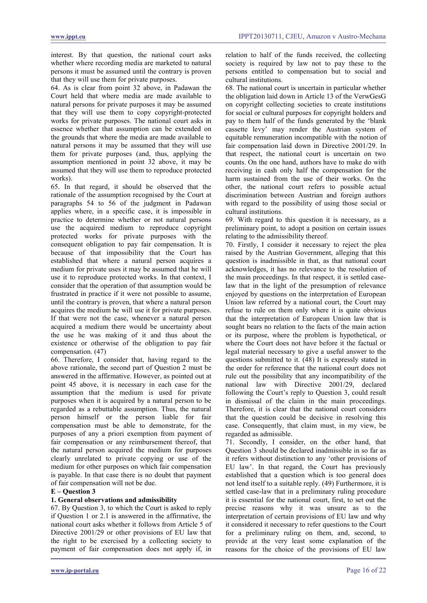interest. By that question, the national court asks whether where recording media are marketed to natural persons it must be assumed until the contrary is proven that they will use them for private purposes.

64. As is clear from point 32 above, in Padawan the Court held that where media are made available to natural persons for private purposes it may be assumed that they will use them to copy copyright-protected works for private purposes. The national court asks in essence whether that assumption can be extended on the grounds that where the media are made available to natural persons it may be assumed that they will use them for private purposes (and, thus, applying the assumption mentioned in point 32 above, it may be assumed that they will use them to reproduce protected works).

65. In that regard, it should be observed that the rationale of the assumption recognised by the Court at paragraphs 54 to 56 of the judgment in Padawan applies where, in a specific case, it is impossible in practice to determine whether or not natural persons use the acquired medium to reproduce copyright protected works for private purposes with the consequent obligation to pay fair compensation. It is because of that impossibility that the Court has established that where a natural person acquires a medium for private uses it may be assumed that he will use it to reproduce protected works. In that context, I consider that the operation of that assumption would be frustrated in practice if it were not possible to assume, until the contrary is proven, that where a natural person acquires the medium he will use it for private purposes. If that were not the case, whenever a natural person acquired a medium there would be uncertainty about the use he was making of it and thus about the existence or otherwise of the obligation to pay fair compensation. (47)

66. Therefore, I consider that, having regard to the above rationale, the second part of Question 2 must be answered in the affirmative. However, as pointed out at point 45 above, it is necessary in each case for the assumption that the medium is used for private purposes when it is acquired by a natural person to be regarded as a rebuttable assumption. Thus, the natural person himself or the person liable for fair compensation must be able to demonstrate, for the purposes of any a priori exemption from payment of fair compensation or any reimbursement thereof, that the natural person acquired the medium for purposes clearly unrelated to private copying or use of the medium for other purposes on which fair compensation is payable. In that case there is no doubt that payment of fair compensation will not be due.

# **E – Question 3**

### **1. General observations and admissibility**

67. By Question 3, to which the Court is asked to reply if Question 1 or 2.1 is answered in the affirmative, the national court asks whether it follows from Article 5 of Directive 2001/29 or other provisions of EU law that the right to be exercised by a collecting society to payment of fair compensation does not apply if, in relation to half of the funds received, the collecting society is required by law not to pay these to the persons entitled to compensation but to social and cultural institutions.

68. The national court is uncertain in particular whether the obligation laid down in Article 13 of the VerwGesG on copyright collecting societies to create institutions for social or cultural purposes for copyright holders and pay to them half of the funds generated by the 'blank cassette levy' may render the Austrian system of equitable remuneration incompatible with the notion of fair compensation laid down in Directive 2001/29. In that respect, the national court is uncertain on two counts. On the one hand, authors have to make do with receiving in cash only half the compensation for the harm sustained from the use of their works. On the other, the national court refers to possible actual discrimination between Austrian and foreign authors with regard to the possibility of using those social or cultural institutions.

69. With regard to this question it is necessary, as a preliminary point, to adopt a position on certain issues relating to the admissibility thereof.

70. Firstly, I consider it necessary to reject the plea raised by the Austrian Government, alleging that this question is inadmissible in that, as that national court acknowledges, it has no relevance to the resolution of the main proceedings. In that respect, it is settled caselaw that in the light of the presumption of relevance enjoyed by questions on the interpretation of European Union law referred by a national court, the Court may refuse to rule on them only where it is quite obvious that the interpretation of European Union law that is sought bears no relation to the facts of the main action or its purpose, where the problem is hypothetical, or where the Court does not have before it the factual or legal material necessary to give a useful answer to the questions submitted to it. (48) It is expressly stated in the order for reference that the national court does not rule out the possibility that any incompatibility of the national law with Directive 2001/29, declared following the Court's reply to Question 3, could result in dismissal of the claim in the main proceedings. Therefore, it is clear that the national court considers that the question could be decisive in resolving this case. Consequently, that claim must, in my view, be regarded as admissible.

71. Secondly, I consider, on the other hand, that Question 3 should be declared inadmissible in so far as it refers without distinction to any 'other provisions of EU law'. In that regard, the Court has previously established that a question which is too general does not lend itself to a suitable reply. (49) Furthermore, it is settled case-law that in a preliminary ruling procedure it is essential for the national court, first, to set out the precise reasons why it was unsure as to the interpretation of certain provisions of EU law and why it considered it necessary to refer questions to the Court for a preliminary ruling on them, and, second, to provide at the very least some explanation of the reasons for the choice of the provisions of EU law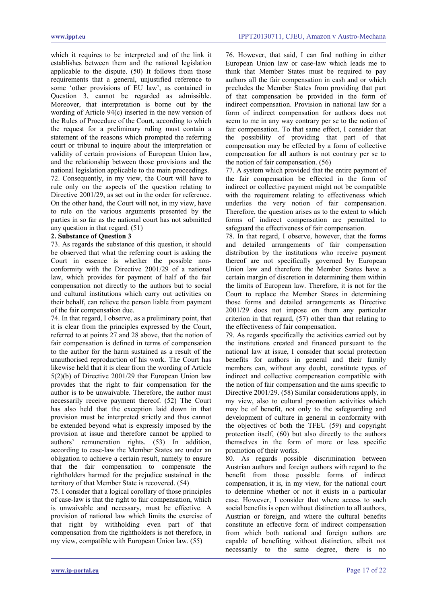which it requires to be interpreted and of the link it establishes between them and the national legislation applicable to the dispute. (50) It follows from those requirements that a general, unjustified reference to some 'other provisions of EU law', as contained in Question 3, cannot be regarded as admissible. Moreover, that interpretation is borne out by the wording of Article 94(c) inserted in the new version of the Rules of Procedure of the Court, according to which the request for a preliminary ruling must contain a statement of the reasons which prompted the referring court or tribunal to inquire about the interpretation or validity of certain provisions of European Union law, and the relationship between those provisions and the national legislation applicable to the main proceedings.

72. Consequently, in my view, the Court will have to rule only on the aspects of the question relating to Directive 2001/29, as set out in the order for reference. On the other hand, the Court will not, in my view, have to rule on the various arguments presented by the parties in so far as the national court has not submitted any question in that regard. (51)

# **2. Substance of Question 3**

73. As regards the substance of this question, it should be observed that what the referring court is asking the Court in essence is whether the possible nonconformity with the Directive 2001/29 of a national law, which provides for payment of half of the fair compensation not directly to the authors but to social and cultural institutions which carry out activities on their behalf, can relieve the person liable from payment of the fair compensation due.

74. In that regard, I observe, as a preliminary point, that it is clear from the principles expressed by the Court, referred to at points 27 and 28 above, that the notion of fair compensation is defined in terms of compensation to the author for the harm sustained as a result of the unauthorised reproduction of his work. The Court has likewise held that it is clear from the wording of Article 5(2)(b) of Directive 2001/29 that European Union law provides that the right to fair compensation for the author is to be unwaivable. Therefore, the author must necessarily receive payment thereof. (52) The Court has also held that the exception laid down in that provision must be interpreted strictly and thus cannot be extended beyond what is expressly imposed by the provision at issue and therefore cannot be applied to authors' remuneration rights. (53) In addition, according to case-law the Member States are under an obligation to achieve a certain result, namely to ensure that the fair compensation to compensate the rightholders harmed for the prejudice sustained in the territory of that Member State is recovered. (54)

75. I consider that a logical corollary of those principles of case-law is that the right to fair compensation, which is unwaivable and necessary, must be effective. A provision of national law which limits the exercise of that right by withholding even part of that compensation from the rightholders is not therefore, in my view, compatible with European Union law. (55)

76. However, that said, I can find nothing in either European Union law or case-law which leads me to think that Member States must be required to pay authors all the fair compensation in cash and or which precludes the Member States from providing that part of that compensation be provided in the form of indirect compensation. Provision in national law for a form of indirect compensation for authors does not seem to me in any way contrary per se to the notion of fair compensation. To that same effect, I consider that the possibility of providing that part of that compensation may be effected by a form of collective compensation for all authors is not contrary per se to the notion of fair compensation. (56)

77. A system which provided that the entire payment of the fair compensation be effected in the form of indirect or collective payment might not be compatible with the requirement relating to effectiveness which underlies the very notion of fair compensation. Therefore, the question arises as to the extent to which forms of indirect compensation are permitted to safeguard the effectiveness of fair compensation.

78. In that regard, I observe, however, that the forms and detailed arrangements of fair compensation distribution by the institutions who receive payment thereof are not specifically governed by European Union law and therefore the Member States have a certain margin of discretion in determining them within the limits of European law. Therefore, it is not for the Court to replace the Member States in determining those forms and detailed arrangements as Directive 2001/29 does not impose on them any particular criterion in that regard, (57) other than that relating to the effectiveness of fair compensation.

79. As regards specifically the activities carried out by the institutions created and financed pursuant to the national law at issue, I consider that social protection benefits for authors in general and their family members can, without any doubt, constitute types of indirect and collective compensation compatible with the notion of fair compensation and the aims specific to Directive 2001/29. (58) Similar considerations apply, in my view, also to cultural promotion activities which may be of benefit, not only to the safeguarding and development of culture in general in conformity with the objectives of both the TFEU (59) and copyright protection itself, (60) but also directly to the authors themselves in the form of more or less specific promotion of their works.

80. As regards possible discrimination between Austrian authors and foreign authors with regard to the benefit from those possible forms of indirect compensation, it is, in my view, for the national court to determine whether or not it exists in a particular case. However, I consider that where access to such social benefits is open without distinction to all authors, Austrian or foreign, and where the cultural benefits constitute an effective form of indirect compensation from which both national and foreign authors are capable of benefiting without distinction, albeit not necessarily to the same degree, there is no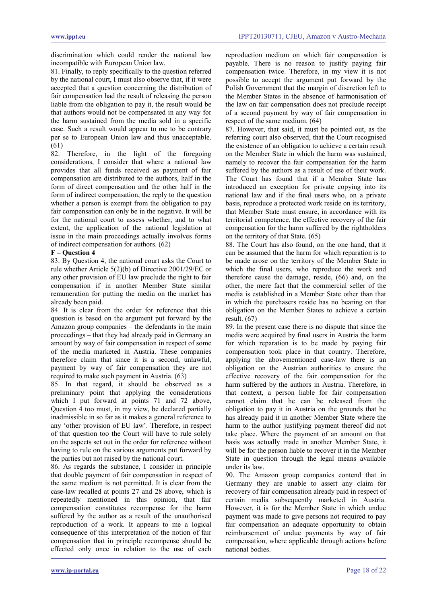discrimination which could render the national law incompatible with European Union law.

81. Finally, to reply specifically to the question referred by the national court, I must also observe that, if it were accepted that a question concerning the distribution of fair compensation had the result of releasing the person liable from the obligation to pay it, the result would be that authors would not be compensated in any way for the harm sustained from the media sold in a specific case. Such a result would appear to me to be contrary per se to European Union law and thus unacceptable. (61)

82. Therefore, in the light of the foregoing considerations, I consider that where a national law provides that all funds received as payment of fair compensation are distributed to the authors, half in the form of direct compensation and the other half in the form of indirect compensation, the reply to the question whether a person is exempt from the obligation to pay fair compensation can only be in the negative. It will be for the national court to assess whether, and to what extent, the application of the national legislation at issue in the main proceedings actually involves forms of indirect compensation for authors. (62)

### **F – Question 4**

83. By Question 4, the national court asks the Court to rule whether Article 5(2)(b) of Directive 2001/29/EC or any other provision of EU law preclude the right to fair compensation if in another Member State similar remuneration for putting the media on the market has already been paid.

84. It is clear from the order for reference that this question is based on the argument put forward by the Amazon group companies – the defendants in the main proceedings – that they had already paid in Germany an amount by way of fair compensation in respect of some of the media marketed in Austria. These companies therefore claim that since it is a second, unlawful, payment by way of fair compensation they are not required to make such payment in Austria. (63)

85. In that regard, it should be observed as a preliminary point that applying the considerations which I put forward at points 71 and 72 above, Question 4 too must, in my view, be declared partially inadmissible in so far as it makes a general reference to any 'other provision of EU law'. Therefore, in respect of that question too the Court will have to rule solely on the aspects set out in the order for reference without having to rule on the various arguments put forward by the parties but not raised by the national court.

86. As regards the substance, I consider in principle that double payment of fair compensation in respect of the same medium is not permitted. It is clear from the case-law recalled at points 27 and 28 above, which is repeatedly mentioned in this opinion, that fair compensation constitutes recompense for the harm suffered by the author as a result of the unauthorised reproduction of a work. It appears to me a logical consequence of this interpretation of the notion of fair compensation that in principle recompense should be effected only once in relation to the use of each

reproduction medium on which fair compensation is payable. There is no reason to justify paying fair compensation twice. Therefore, in my view it is not possible to accept the argument put forward by the Polish Government that the margin of discretion left to the Member States in the absence of harmonisation of the law on fair compensation does not preclude receipt of a second payment by way of fair compensation in respect of the same medium. (64)

87. However, that said, it must be pointed out, as the referring court also observed, that the Court recognised the existence of an obligation to achieve a certain result on the Member State in which the harm was sustained, namely to recover the fair compensation for the harm suffered by the authors as a result of use of their work. The Court has found that if a Member State has introduced an exception for private copying into its national law and if the final users who, on a private basis, reproduce a protected work reside on its territory, that Member State must ensure, in accordance with its territorial competence, the effective recovery of the fair compensation for the harm suffered by the rightholders on the territory of that State. (65)

88. The Court has also found, on the one hand, that it can be assumed that the harm for which reparation is to be made arose on the territory of the Member State in which the final users, who reproduce the work and therefore cause the damage, reside, (66) and, on the other, the mere fact that the commercial seller of the media is established in a Member State other than that in which the purchasers reside has no bearing on that obligation on the Member States to achieve a certain result. (67)

89. In the present case there is no dispute that since the media were acquired by final users in Austria the harm for which reparation is to be made by paying fair compensation took place in that country. Therefore, applying the abovementioned case-law there is an obligation on the Austrian authorities to ensure the effective recovery of the fair compensation for the harm suffered by the authors in Austria. Therefore, in that context, a person liable for fair compensation cannot claim that he can be released from the obligation to pay it in Austria on the grounds that he has already paid it in another Member State where the harm to the author justifying payment thereof did not take place. Where the payment of an amount on that basis was actually made in another Member State, it will be for the person liable to recover it in the Member State in question through the legal means available under its law.

90. The Amazon group companies contend that in Germany they are unable to assert any claim for recovery of fair compensation already paid in respect of certain media subsequently marketed in Austria. However, it is for the Member State in which undue payment was made to give persons not required to pay fair compensation an adequate opportunity to obtain reimbursement of undue payments by way of fair compensation, where applicable through actions before national bodies.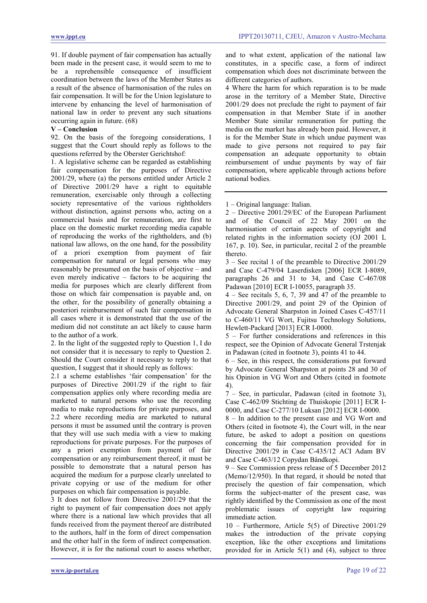91. If double payment of fair compensation has actually been made in the present case, it would seem to me to be a reprehensible consequence of insufficient coordination between the laws of the Member States as a result of the absence of harmonisation of the rules on fair compensation. It will be for the Union legislature to intervene by enhancing the level of harmonisation of national law in order to prevent any such situations occurring again in future. (68)

### **V – Conclusion**

92. On the basis of the foregoing considerations, I suggest that the Court should reply as follows to the questions referred by the Oberster Gerichtshof:

1. A legislative scheme can be regarded as establishing fair compensation for the purposes of Directive 2001/29, where (a) the persons entitled under Article 2 of Directive 2001/29 have a right to equitable remuneration, exercisable only through a collecting society representative of the various rightholders without distinction, against persons who, acting on a commercial basis and for remuneration, are first to place on the domestic market recording media capable of reproducing the works of the rightholders, and (b) national law allows, on the one hand, for the possibility of a priori exemption from payment of fair compensation for natural or legal persons who may reasonably be presumed on the basis of objective – and even merely indicative – factors to be acquiring the media for purposes which are clearly different from those on which fair compensation is payable and, on the other, for the possibility of generally obtaining a posteriori reimbursement of such fair compensation in all cases where it is demonstrated that the use of the medium did not constitute an act likely to cause harm to the author of a work.

2. In the light of the suggested reply to Question 1, I do not consider that it is necessary to reply to Question 2. Should the Court consider it necessary to reply to that question, I suggest that it should reply as follows:

2.1 a scheme establishes 'fair compensation' for the purposes of Directive 2001/29 if the right to fair compensation applies only where recording media are marketed to natural persons who use the recording media to make reproductions for private purposes, and 2.2 where recording media are marketed to natural persons it must be assumed until the contrary is proven that they will use such media with a view to making reproductions for private purposes. For the purposes of any a priori exemption from payment of fair compensation or any reimbursement thereof, it must be possible to demonstrate that a natural person has acquired the medium for a purpose clearly unrelated to private copying or use of the medium for other purposes on which fair compensation is payable.

3 It does not follow from Directive 2001/29 that the right to payment of fair compensation does not apply where there is a national law which provides that all funds received from the payment thereof are distributed to the authors, half in the form of direct compensation and the other half in the form of indirect compensation. However, it is for the national court to assess whether, and to what extent, application of the national law constitutes, in a specific case, a form of indirect compensation which does not discriminate between the different categories of authors.

4 Where the harm for which reparation is to be made arose in the territory of a Member State, Directive 2001/29 does not preclude the right to payment of fair compensation in that Member State if in another Member State similar remuneration for putting the media on the market has already been paid. However, it is for the Member State in which undue payment was made to give persons not required to pay fair compensation an adequate opportunity to obtain reimbursement of undue payments by way of fair compensation, where applicable through actions before national bodies.

1 – Original language: Italian.

2 – Directive 2001/29/EC of the European Parliament and of the Council of 22 May 2001 on the harmonisation of certain aspects of copyright and related rights in the information society (OJ 2001 L 167, p. 10). See, in particular, recital 2 of the preamble thereto.

3 – See recital 1 of the preamble to Directive 2001/29 and Case C-479/04 Laserdisken [2006] ECR I-8089, paragraphs 26 and 31 to 34, and Case C-467/08 Padawan [2010] ECR I-10055, paragraph 35.

4 – See recitals 5, 6, 7, 39 and 47 of the preamble to Directive 2001/29, and point 29 of the Opinion of Advocate General Sharpston in Joined Cases C-457/11 to C-460/11 VG Wort, Fujitsu Technology Solutions, Hewlett-Packard [2013] ECR I-0000.

5 – For further considerations and references in this respect, see the Opinion of Advocate General Trstenjak in Padawan (cited in footnote 3), points 41 to 44.

6 – See, in this respect, the considerations put forward by Advocate General Sharpston at points 28 and 30 of his Opinion in VG Wort and Others (cited in footnote 4).

7 – See, in particular, Padawan (cited in footnote 3), Case C-462/09 Stichting de Thuiskopie [2011] ECR I-0000, and Case C-277/10 Luksan [2012] ECR I-0000.

8 – In addition to the present case and VG Wort and Others (cited in footnote 4), the Court will, in the near future, be asked to adopt a position on questions concerning the fair compensation provided for in Directive 2001/29 in Case C-435/12 ACI Adam BV and Case C-463/12 Copydan Båndkopi.

9 – See Commission press release of 5 December 2012 (Memo/12/950). In that regard, it should be noted that precisely the question of fair compensation, which forms the subject-matter of the present case, was rightly identified by the Commission as one of the most problematic issues of copyright law requiring immediate action.

10 – Furthermore, Article 5(5) of Directive 2001/29 makes the introduction of the private copying exception, like the other exceptions and limitations provided for in Article 5(1) and (4), subject to three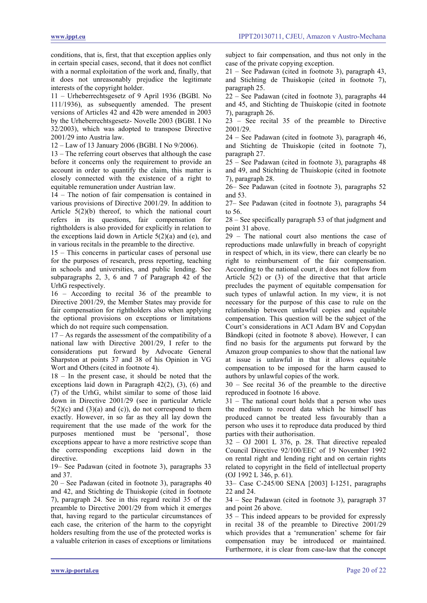conditions, that is, first, that that exception applies only in certain special cases, second, that it does not conflict with a normal exploitation of the work and, finally, that it does not unreasonably prejudice the legitimate interests of the copyright holder.

11 – Urheberrechtsgesetz of 9 April 1936 (BGBl. No 111/1936), as subsequently amended. The present versions of Articles 42 and 42b were amended in 2003 by the Urheberrechtsgesetz- Novelle 2003 (BGBl. I No 32/2003), which was adopted to transpose Directive 2001/29 into Austria law.

12 – Law of 13 January 2006 (BGBl. I No 9/2006).

13 – The referring court observes that although the case before it concerns only the requirement to provide an account in order to quantify the claim, this matter is closely connected with the existence of a right to equitable remuneration under Austrian law.

14 – The notion of fair compensation is contained in various provisions of Directive 2001/29. In addition to Article 5(2)(b) thereof, to which the national court refers in its questions, fair compensation for rightholders is also provided for explicitly in relation to the exceptions laid down in Article  $5(2)(a)$  and (e), and in various recitals in the preamble to the directive.

15 – This concerns in particular cases of personal use for the purposes of research, press reporting, teaching in schools and universities, and public lending. See subparagraphs 2, 3, 6 and 7 of Paragraph 42 of the UrhG respectively.

16 – According to recital 36 of the preamble to Directive 2001/29, the Member States may provide for fair compensation for rightholders also when applying the optional provisions on exceptions or limitations which do not require such compensation.

17 – As regards the assessment of the compatibility of a national law with Directive 2001/29, I refer to the considerations put forward by Advocate General Sharpston at points 37 and 38 of his Opinion in VG Wort and Others (cited in footnote 4).

18 – In the present case, it should be noted that the exceptions laid down in Paragraph 42(2), (3), (6) and (7) of the UrhG, whilst similar to some of those laid down in Directive 2001/29 (see in particular Article  $5(2)(c)$  and  $(3)(a)$  and  $(c)$ ), do not correspond to them exactly. However, in so far as they all lay down the requirement that the use made of the work for the purposes mentioned must be 'personal', those exceptions appear to have a more restrictive scope than the corresponding exceptions laid down in the directive.

19– See Padawan (cited in footnote 3), paragraphs 33 and 37.

20 – See Padawan (cited in footnote 3), paragraphs 40 and 42, and Stichting de Thuiskopie (cited in footnote 7), paragraph 24. See in this regard recital 35 of the preamble to Directive 2001/29 from which it emerges that, having regard to the particular circumstances of each case, the criterion of the harm to the copyright holders resulting from the use of the protected works is a valuable criterion in cases of exceptions or limitations subject to fair compensation, and thus not only in the case of the private copying exception.

21 – See Padawan (cited in footnote 3), paragraph 43, and Stichting de Thuiskopie (cited in footnote 7), paragraph 25.

22 – See Padawan (cited in footnote 3), paragraphs 44 and 45, and Stichting de Thuiskopie (cited in footnote 7), paragraph 26.

23 – See recital 35 of the preamble to Directive 2001/29.

24 – See Padawan (cited in footnote 3), paragraph 46, and Stichting de Thuiskopie (cited in footnote 7), paragraph 27.

25 – See Padawan (cited in footnote 3), paragraphs 48 and 49, and Stichting de Thuiskopie (cited in footnote 7), paragraph 28.

26– See Padawan (cited in footnote 3), paragraphs 52 and 53.

27– See Padawan (cited in footnote 3), paragraphs 54 to 56.

28 – See specifically paragraph 53 of that judgment and point 31 above.

29 – The national court also mentions the case of reproductions made unlawfully in breach of copyright in respect of which, in its view, there can clearly be no right to reimbursement of the fair compensation. According to the national court, it does not follow from Article  $5(2)$  or  $(3)$  of the directive that that article precludes the payment of equitable compensation for such types of unlawful action. In my view, it is not necessary for the purpose of this case to rule on the relationship between unlawful copies and equitable compensation. This question will be the subject of the Court's considerations in ACI Adam BV and Copydan Båndkopi (cited in footnote 8 above). However, I can find no basis for the arguments put forward by the Amazon group companies to show that the national law at issue is unlawful in that it allows equitable compensation to be imposed for the harm caused to authors by unlawful copies of the work.

30 – See recital 36 of the preamble to the directive reproduced in footnote 16 above.

31 – The national court holds that a person who uses the medium to record data which he himself has produced cannot be treated less favourably than a person who uses it to reproduce data produced by third parties with their authorisation.

32 – OJ 2001 L 376, p. 28. That directive repealed Council Directive 92/100/EEC of 19 November 1992 on rental right and lending right and on certain rights related to copyright in the field of intellectual property (OJ 1992 L 346, p. 61).

33– Case C-245/00 SENA [2003] I-1251, paragraphs 22 and 24.

34 – See Padawan (cited in footnote 3), paragraph 37 and point 26 above.

35 – This indeed appears to be provided for expressly in recital 38 of the preamble to Directive 2001/29 which provides that a 'remuneration' scheme for fair compensation may be introduced or maintained. Furthermore, it is clear from case-law that the concept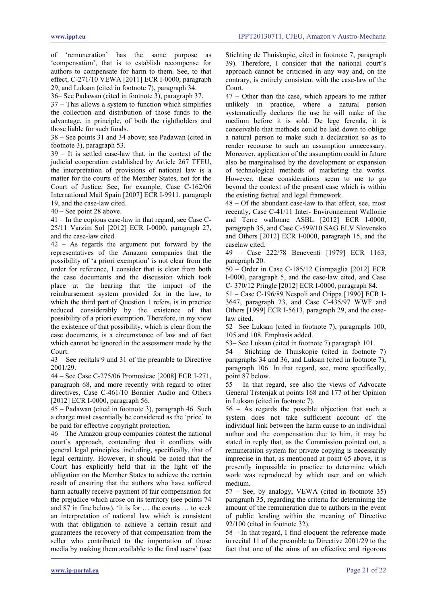of 'remuneration' has the same purpose as 'compensation', that is to establish recompense for authors to compensate for harm to them. See, to that effect, C-271/10 VEWA [2011] ECR I-0000, paragraph 29, and Luksan (cited in footnote 7), paragraph 34.

36– See Padawan (cited in footnote 3), paragraph 37.

37 – This allows a system to function which simplifies the collection and distribution of those funds to the advantage, in principle, of both the rightholders and those liable for such funds.

38 – See points 31 and 34 above; see Padawan (cited in footnote 3), paragraph 53.

39 – It is settled case-law that, in the context of the judicial cooperation established by Article 267 TFEU, the interpretation of provisions of national law is a matter for the courts of the Member States, not for the Court of Justice. See, for example, Case C-162/06 International Mail Spain [2007] ECR I-9911, paragraph 19, and the case-law cited.

40 – See point 28 above.

41 – In the copious case-law in that regard, see Case C-25/11 Varzim Sol [2012] ECR I-0000, paragraph 27, and the case-law cited.

42 – As regards the argument put forward by the representatives of the Amazon companies that the possibility of 'a priori exemption' is not clear from the order for reference, I consider that is clear from both the case documents and the discussion which took place at the hearing that the impact of the reimbursement system provided for in the law, to which the third part of Question 1 refers, is in practice reduced considerably by the existence of that possibility of a priori exemption. Therefore, in my view the existence of that possibility, which is clear from the case documents, is a circumstance of law and of fact which cannot be ignored in the assessment made by the Court.

43 – See recitals 9 and 31 of the preamble to Directive 2001/29.

44 – See Case C-275/06 Promusicae [2008] ECR I-271, paragraph 68, and more recently with regard to other directives, Case C-461/10 Bonnier Audio and Others [2012] ECR I-0000, paragraph 56.

45 – Padawan (cited in footnote 3), paragraph 46. Such a charge must essentially be considered as the 'price' to be paid for effective copyright protection.

46 – The Amazon group companies contest the national court's approach, contending that it conflicts with general legal principles, including, specifically, that of legal certainty. However, it should be noted that the Court has explicitly held that in the light of the obligation on the Member States to achieve the certain result of ensuring that the authors who have suffered harm actually receive payment of fair compensation for the prejudice which arose on its territory (see points 74 and 87 in fine below), 'it is for … the courts … to seek an interpretation of national law which is consistent with that obligation to achieve a certain result and guarantees the recovery of that compensation from the seller who contributed to the importation of those media by making them available to the final users' (see Stichting de Thuiskopie, cited in footnote 7, paragraph 39). Therefore, I consider that the national court's approach cannot be criticised in any way and, on the contrary, is entirely consistent with the case-law of the Court.

47 – Other than the case, which appears to me rather unlikely in practice, where a natural person systematically declares the use he will make of the medium before it is sold. De lege ferenda, it is conceivable that methods could be laid down to oblige a natural person to make such a declaration so as to render recourse to such an assumption unnecessary. Moreover, application of the assumption could in future also be marginalised by the development or expansion of technological methods of marketing the works. However, these considerations seem to me to go beyond the context of the present case which is within the existing factual and legal framework.

48 – Of the abundant case-law to that effect, see, most recently, Case C-41/11 Inter- Environnement Wallonie and Terre wallonne ASBL [2012] ECR I-0000, paragraph 35, and Case C-599/10 SAG ELV Slovensko and Others [2012] ECR I-0000, paragraph 15, and the caselaw cited.

49 – Case 222/78 Beneventi [1979] ECR 1163, paragraph 20.

50 – Order in Case C-185/12 Ciampaglia [2012] ECR I-0000, paragraph 5, and the case-law cited, and Case C- 370/12 Pringle [2012] ECR I-0000, paragraph 84.

51 – Case C-196/89 Nespoli and Crippa [1990] ECR I-3647, paragraph 23, and Case C-435/97 WWF and Others [1999] ECR I-5613, paragraph 29, and the caselaw cited.

52– See Luksan (cited in footnote 7), paragraphs 100, 105 and 108. Emphasis added.

53– See Luksan (cited in footnote 7) paragraph 101.

54 – Stichting de Thuiskopie (cited in footnote 7) paragraphs 34 and 36, and Luksan (cited in footnote 7), paragraph 106. In that regard, see, more specifically, point 87 below.

55 – In that regard, see also the views of Advocate General Trstenjak at points 168 and 177 of her Opinion in Luksan (cited in footnote 7).

56 – As regards the possible objection that such a system does not take sufficient account of the individual link between the harm cause to an individual author and the compensation due to him, it may be stated in reply that, as the Commission pointed out, a remuneration system for private copying is necessarily imprecise in that, as mentioned at point 65 above, it is presently impossible in practice to determine which work was reproduced by which user and on which medium.

57 – See, by analogy, VEWA (cited in footnote 35) paragraph 35, regarding the criteria for determining the amount of the remuneration due to authors in the event of public lending within the meaning of Directive 92/100 (cited in footnote 32).

58 – In that regard, I find eloquent the reference made in recital 11 of the preamble to Directive 2001/29 to the fact that one of the aims of an effective and rigorous